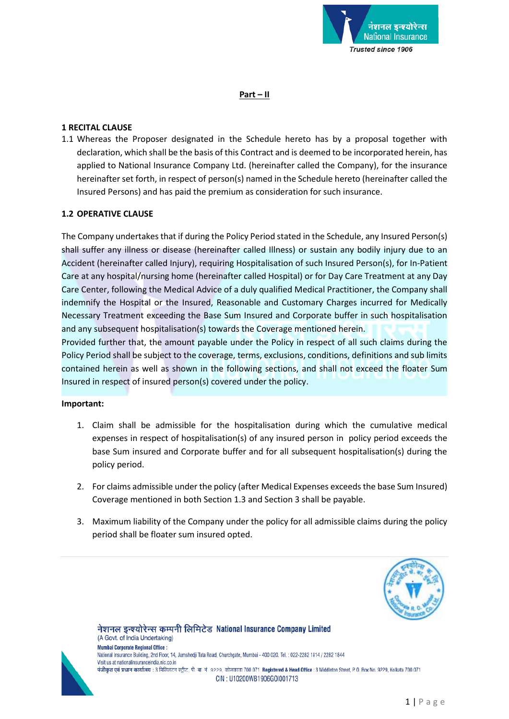

#### **Part – II**

### **1 RECITAL CLAUSE**

1.1 Whereas the Proposer designated in the Schedule hereto has by a proposal together with declaration, which shall be the basis of this Contract and is deemed to be incorporated herein, has applied to National Insurance Company Ltd. (hereinafter called the Company), for the insurance hereinafter set forth, in respect of person(s) named in the Schedule hereto (hereinafter called the Insured Persons) and has paid the premium as consideration for such insurance.

#### **1.2 OPERATIVE CLAUSE**

The Company undertakes that if during the Policy Period stated in the Schedule, any Insured Person(s) shall suffer any illness or disease (hereinafter called Illness) or sustain any bodily injury due to an Accident (hereinafter called Injury), requiring Hospitalisation of such Insured Person(s), for In-Patient Care at any hospital/nursing home (hereinafter called Hospital) or for Day Care Treatment at any Day Care Center, following the Medical Advice of a duly qualified Medical Practitioner, the Company shall indemnify the Hospital or the Insured, Reasonable and Customary Charges incurred for Medically Necessary Treatment exceeding the Base Sum Insured and Corporate buffer in such hospitalisation and any subsequent hospitalisation(s) towards the Coverage mentioned herein.

Provided further that, the amount payable under the Policy in respect of all such claims during the Policy Period shall be subject to the coverage, terms, exclusions, conditions, definitions and sub limits contained herein as well as shown in the following sections, and shall not exceed the floater Sum Insured in respect of insured person(s) covered under the policy.

#### **Important:**

- 1. Claim shall be admissible for the hospitalisation during which the cumulative medical expenses in respect of hospitalisation(s) of any insured person in policy period exceeds the base Sum insured and Corporate buffer and for all subsequent hospitalisation(s) during the policy period.
- 2. For claims admissible under the policy (after Medical Expenses exceeds the base Sum Insured) Coverage mentioned in both Section 1.3 and Section 3 shall be payable.
- 3. Maximum liability of the Company under the policy for all admissible claims during the policy period shall be floater sum insured opted.





(A Govt. of India Undertaking) **Mumbai Corporate Regional Office:** National Insurance Building, 2nd Floor, 14, Jamshedji Tata Road, Churchgate, Mumbai - 400 020. Tel. : 022-2282 1814 / 2282 1844 Visit us at nationalinsuranceindia nic co in पंजीकृत एवं प्रधान कार्यालय : 3 मिडिलटन स्ट्रीट, पी. बा. नं. 9229, कोलकाता 700 071 Registered & Head Office : 3 Middleton Street, P. O. Box No. 9229, Kolkata 700 071 CIN: U10200WB1906G0I001713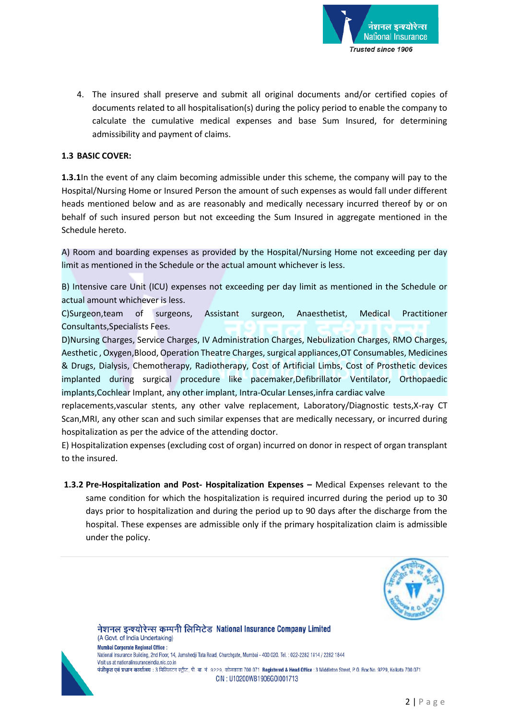

4. The insured shall preserve and submit all original documents and/or certified copies of documents related to all hospitalisation(s) during the policy period to enable the company to calculate the cumulative medical expenses and base Sum Insured, for determining admissibility and payment of claims.

### **1.3 BASIC COVER:**

**1.3.1**In the event of any claim becoming admissible under this scheme, the company will pay to the Hospital/Nursing Home or Insured Person the amount of such expenses as would fall under different heads mentioned below and as are reasonably and medically necessary incurred thereof by or on behalf of such insured person but not exceeding the Sum Insured in aggregate mentioned in the Schedule hereto.

A) Room and boarding expenses as provided by the Hospital/Nursing Home not exceeding per day limit as mentioned in the Schedule or the actual amount whichever is less.

B) Intensive care Unit (ICU) expenses not exceeding per day limit as mentioned in the Schedule or actual amount whichever is less.

C)Surgeon,team of surgeons, Assistant surgeon, Anaesthetist, Medical Practitioner Consultants,Specialists Fees.

D)Nursing Charges, Service Charges, IV Administration Charges, Nebulization Charges, RMO Charges, Aesthetic , Oxygen,Blood, Operation Theatre Charges,surgical appliances,OT Consumables, Medicines & Drugs, Dialysis, Chemotherapy, Radiotherapy, Cost of Artificial Limbs, Cost of Prosthetic devices implanted during surgical procedure like pacemaker,Defibrillator Ventilator, Orthopaedic implants,Cochlear Implant, any other implant, Intra-Ocular Lenses,infra cardiac valve

replacements,vascular stents, any other valve replacement, Laboratory/Diagnostic tests,X-ray CT Scan,MRI, any other scan and such similar expenses that are medically necessary, or incurred during hospitalization as per the advice of the attending doctor.

E) Hospitalization expenses (excluding cost of organ) incurred on donor in respect of organ transplant to the insured.

**1.3.2 Pre-Hospitalization and Post- Hospitalization Expenses –** Medical Expenses relevant to the same condition for which the hospitalization is required incurred during the period up to 30 days prior to hospitalization and during the period up to 90 days after the discharge from the hospital. These expenses are admissible only if the primary hospitalization claim is admissible under the policy.



(A Govt. of India Undertaking) **Mumbai Corporate Regional Office:** National Insurance Building, 2nd Floor, 14, Jamshedji Tata Road, Churchgate, Mumbai - 400 020. Tel. : 022-2282 1814 / 2282 1844 Visit us at nationalinsuranceindia nic co in पंजीकृत एवं प्रधान कार्यालय : 3 मिडिलटन स्ट्रीट, पी. बा. नं. 9229, कोलकाता 700 071 Registered & Head Office : 3 Middleton Street, P. O. Box No. 9229, Kolkata 700 071 CIN: U10200WB1906G0I001713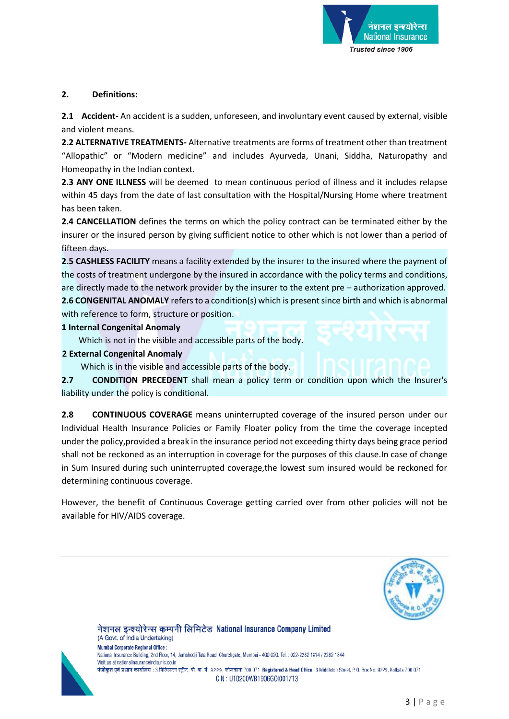

### **2. Definitions:**

**2.1 Accident-** An accident is a sudden, unforeseen, and involuntary event caused by external, visible and violent means.

**2.2 ALTERNATIVE TREATMENTS-** Alternative treatments are forms of treatment other than treatment "Allopathic" or "Modern medicine" and includes Ayurveda, Unani, Siddha, Naturopathy and Homeopathy in the Indian context.

**2.3 ANY ONE ILLNESS** will be deemed to mean continuous period of illness and it includes relapse within 45 days from the date of last consultation with the Hospital/Nursing Home where treatment has been taken.

**2.4 CANCELLATION** defines the terms on which the policy contract can be terminated either by the insurer or the insured person by giving sufficient notice to other which is not lower than a period of fifteen days.

**2.5 CASHLESS FACILITY** means a facility extended by the insurer to the insured where the payment of the costs of treatment undergone by the insured in accordance with the policy terms and conditions, are directly made to the network provider by the insurer to the extent pre – authorization approved. **2.6 CONGENITAL ANOMALY** refers to a condition(s) which is present since birth and which is abnormal

with reference to form, structure or position.

#### **1 Internal Congenital Anomaly**

Which is not in the visible and accessible parts of the body.

### **2 External Congenital Anomaly**

Which is in the visible and accessible parts of the body.

**2.7 CONDITION PRECEDENT** shall mean a policy term or condition upon which the Insurer's liability under the policy is conditional.

**2.8 CONTINUOUS COVERAGE** means uninterrupted coverage of the insured person under our Individual Health Insurance Policies or Family Floater policy from the time the coverage incepted under the policy,provided a break in the insurance period not exceeding thirty days being grace period shall not be reckoned as an interruption in coverage for the purposes of this clause.In case of change in Sum Insured during such uninterrupted coverage,the lowest sum insured would be reckoned for determining continuous coverage.

However, the benefit of Continuous Coverage getting carried over from other policies will not be available for HIV/AIDS coverage.





(A Govt. of India Undertaking) **Mumbai Corporate Regional Office:** National Insurance Building, 2nd Floor, 14, Jamshedji Tata Road, Churchgate, Mumbai - 400 020. Tel. : 022-2282 1814 / 2282 1844 Visit us at nationalinsuranceindia.nic.co.in पंजीकृत एवं प्रधान कार्यालय : 3 मिडिलटन स्ट्रीट, पी. बा. नं. 9229, कोलकाता 700 071 Registered & Head Office : 3 Middleton Street, P. O. Box No. 9229, Kolkata 700 071 CIN: U10200WB1906G0I001713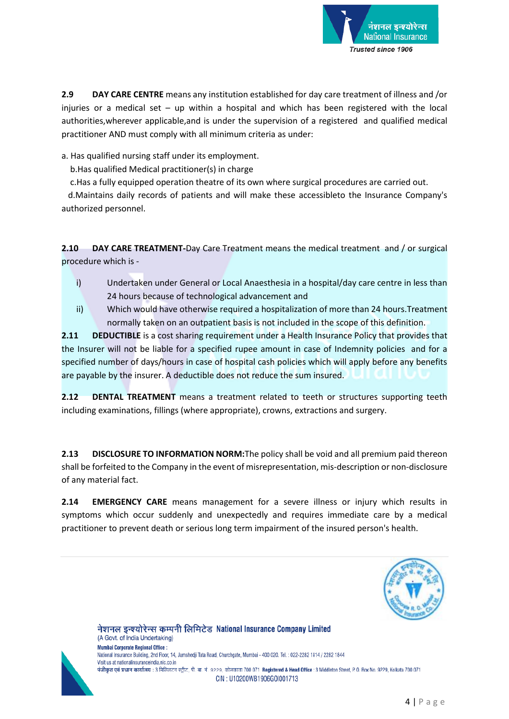

**2.9 DAY CARE CENTRE** means any institution established for day care treatment of illness and /or injuries or a medical set – up within a hospital and which has been registered with the local authorities,wherever applicable,and is under the supervision of a registered and qualified medical practitioner AND must comply with all minimum criteria as under:

a. Has qualified nursing staff under its employment.

b.Has qualified Medical practitioner(s) in charge

c.Has a fully equipped operation theatre of its own where surgical procedures are carried out.

 d.Maintains daily records of patients and will make these accessibleto the Insurance Company's authorized personnel.

**2.10 DAY CARE TREATMENT-**Day Care Treatment means the medical treatment and / or surgical procedure which is -

- i) Undertaken under General or Local Anaesthesia in a hospital/day care centre in less than 24 hours because of technological advancement and
- ii) Which would have otherwise required a hospitalization of more than 24 hours.Treatment normally taken on an outpatient basis is not included in the scope of this definition.

**2.11 DEDUCTIBLE** is a cost sharing requirement under a Health Insurance Policy that provides that the Insurer will not be liable for a specified rupee amount in case of Indemnity policies and for a specified number of days/hours in case of hospital cash policies which will apply before any benefits are payable by the insurer. A deductible does not reduce the sum insured.

**2.12 DENTAL TREATMENT** means a treatment related to teeth or structures supporting teeth including examinations, fillings (where appropriate), crowns, extractions and surgery.

**2.13 DISCLOSURE TO INFORMATION NORM:**The policy shall be void and all premium paid thereon shall be forfeited to the Company in the event of misrepresentation, mis-description or non-disclosure of any material fact.

**2.14 EMERGENCY CARE** means management for a severe illness or injury which results in symptoms which occur suddenly and unexpectedly and requires immediate care by a medical practitioner to prevent death or serious long term impairment of the insured person's health.





(A Govt. of India Undertaking) **Mumbai Corporate Regional Office:** National Insurance Building, 2nd Floor, 14, Jamshedji Tata Road, Churchgate, Mumbai - 400 020. Tel. : 022-2282 1814 / 2282 1844 Visit us at nationalinsuranceindia nic co in पंजीकृत एवं प्रधान कार्यालय : 3 मिडिलटन स्ट्रीट, पी. बा. नं. 9229, कोलकाता 700 071 Registered & Head Office : 3 Middleton Street, P. O. Box No. 9229, Kolkata 700 071 CIN: U10200WB1906G0I001713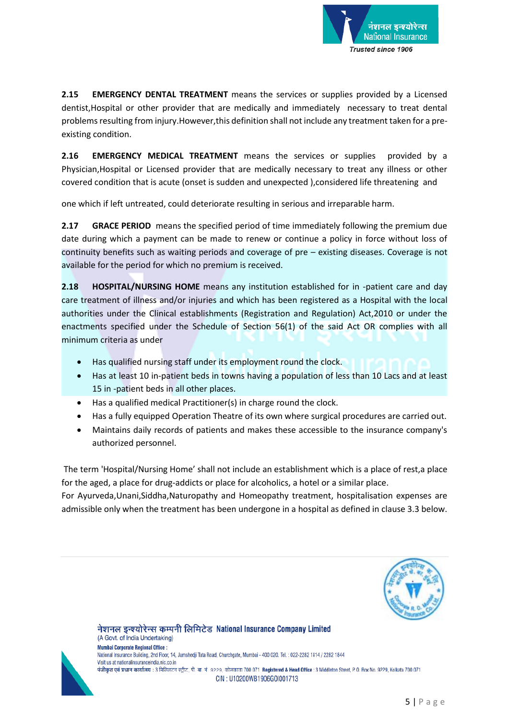

**2.15 EMERGENCY DENTAL TREATMENT** means the services or supplies provided by a Licensed dentist,Hospital or other provider that are medically and immediately necessary to treat dental problems resulting from injury.However,this definition shall not include any treatment taken for a preexisting condition.

**2.16 EMERGENCY MEDICAL TREATMENT** means the services or supplies provided by a Physician,Hospital or Licensed provider that are medically necessary to treat any illness or other covered condition that is acute (onset is sudden and unexpected ),considered life threatening and

one which if left untreated, could deteriorate resulting in serious and irreparable harm.

**2.17 GRACE PERIOD** means the specified period of time immediately following the premium due date during which a payment can be made to renew or continue a policy in force without loss of continuity benefits such as waiting periods and coverage of pre – existing diseases. Coverage is not available for the period for which no premium is received.

**2.18 HOSPITAL/NURSING HOME** means any institution established for in -patient care and day care treatment of illness and/or injuries and which has been registered as a Hospital with the local authorities under the Clinical establishments (Registration and Regulation) Act,2010 or under the enactments specified under the Schedule of Section 56(1) of the said Act OR complies with all minimum criteria as under

- Has qualified nursing staff under its employment round the clock.
- Has at least 10 in-patient beds in towns having a population of less than 10 Lacs and at least 15 in -patient beds in all other places.
- Has a qualified medical Practitioner(s) in charge round the clock.
- Has a fully equipped Operation Theatre of its own where surgical procedures are carried out.
- Maintains daily records of patients and makes these accessible to the insurance company's authorized personnel.

The term 'Hospital/Nursing Home' shall not include an establishment which is a place of rest,a place for the aged, a place for drug-addicts or place for alcoholics, a hotel or a similar place.

For Ayurveda,Unani,Siddha,Naturopathy and Homeopathy treatment, hospitalisation expenses are admissible only when the treatment has been undergone in a hospital as defined in clause 3.3 below.





(A Govt. of India Undertaking) **Mumbai Corporate Regional Office:** National Insurance Building, 2nd Floor, 14, Jamshedji Tata Road, Churchgate, Mumbai - 400 020. Tel. : 022-2282 1814 / 2282 1844 Visit us at nationalinsuranceindia nic co in पंजीकृत एवं प्रधान कार्यालय : 3 मिडिलटन स्ट्रीट, पी. बा. नं. 9229, कोलकाता 700 071 Registered & Head Office : 3 Middleton Street, P. O. Box No. 9229, Kolkata 700 071 CIN: U10200WB1906G0I001713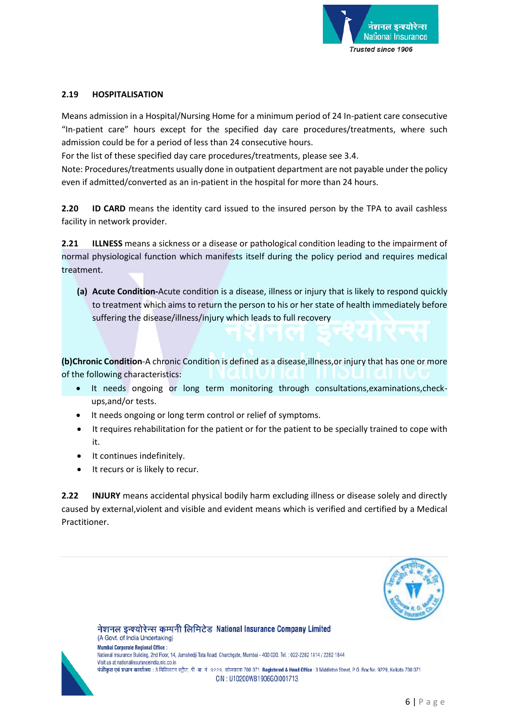

### **2.19 HOSPITALISATION**

Means admission in a Hospital/Nursing Home for a minimum period of 24 In-patient care consecutive "In-patient care" hours except for the specified day care procedures/treatments, where such admission could be for a period of less than 24 consecutive hours.

For the list of these specified day care procedures/treatments, please see 3.4.

Note: Procedures/treatments usually done in outpatient department are not payable under the policy even if admitted/converted as an in-patient in the hospital for more than 24 hours.

**2.20 ID CARD** means the identity card issued to the insured person by the TPA to avail cashless facility in network provider.

**2.21 ILLNESS** means a sickness or a disease or pathological condition leading to the impairment of normal physiological function which manifests itself during the policy period and requires medical treatment.

**(a) Acute Condition-**Acute condition is a disease, illness or injury that is likely to respond quickly to treatment which aims to return the person to his or her state of health immediately before suffering the disease/illness/injury which leads to full recovery

**(b)Chronic Condition**-A chronic Condition is defined as a disease,illness,or injury that has one or more of the following characteristics:

- It needs ongoing or long term monitoring through consultations,examinations,checkups,and/or tests.
- It needs ongoing or long term control or relief of symptoms.
- It requires rehabilitation for the patient or for the patient to be specially trained to cope with it.
- It continues indefinitely.
- It recurs or is likely to recur.

**2.22 INJURY** means accidental physical bodily harm excluding illness or disease solely and directly caused by external,violent and visible and evident means which is verified and certified by a Medical Practitioner.





(A Govt. of India Undertaking) **Mumbai Corporate Regional Office:** National Insurance Building, 2nd Floor, 14, Jamshedji Tata Road, Churchgate, Mumbai - 400 020. Tel. : 022-2282 1814 / 2282 1844 Visit us at nationalinsuranceindia.nic.co.in पंजीकृत एवं प्रधान कार्यालय : 3 मिडिलटन स्ट्रीट, पी. बा. नं. 9229, कोलकाता 700 071 Registered & Head Office : 3 Middleton Street, P. O. Box No. 9229, Kolkata 700 071 CIN: U10200WB1906G0I001713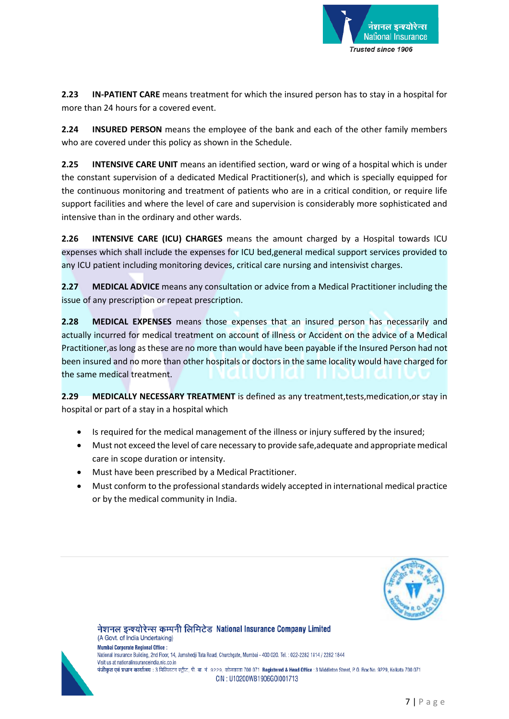

**2.23 IN-PATIENT CARE** means treatment for which the insured person has to stay in a hospital for more than 24 hours for a covered event.

**2.24 INSURED PERSON** means the employee of the bank and each of the other family members who are covered under this policy as shown in the Schedule.

**2.25 INTENSIVE CARE UNIT** means an identified section, ward or wing of a hospital which is under the constant supervision of a dedicated Medical Practitioner(s), and which is specially equipped for the continuous monitoring and treatment of patients who are in a critical condition, or require life support facilities and where the level of care and supervision is considerably more sophisticated and intensive than in the ordinary and other wards.

**2.26 INTENSIVE CARE (ICU) CHARGES** means the amount charged by a Hospital towards ICU expenses which shall include the expenses for ICU bed,general medical support services provided to any ICU patient including monitoring devices, critical care nursing and intensivist charges.

**2.27 MEDICAL ADVICE** means any consultation or advice from a Medical Practitioner including the issue of any prescription or repeat prescription.

**2.28 MEDICAL EXPENSES** means those expenses that an insured person has necessarily and actually incurred for medical treatment on account of illness or Accident on the advice of a Medical Practitioner,as long as these are no more than would have been payable if the Insured Person had not been insured and no more than other hospitals or doctors in the same locality would have charged for the same medical treatment.

**2.29 MEDICALLY NECESSARY TREATMENT** is defined as any treatment,tests,medication,or stay in hospital or part of a stay in a hospital which

- Is required for the medical management of the illness or injury suffered by the insured;
- Must not exceed the level of care necessary to provide safe,adequate and appropriate medical care in scope duration or intensity.
- Must have been prescribed by a Medical Practitioner.
- Must conform to the professional standards widely accepted in international medical practice or by the medical community in India.





(A Govt. of India Undertaking) **Mumbai Corporate Regional Office:** National Insurance Building, 2nd Floor, 14, Jamshedji Tata Road, Churchgate, Mumbai - 400 020. Tel. : 022-2282 1814 / 2282 1844 Visit us at nationalinsuranceindia nic co in पंजीकृत एवं प्रधान कार्यालय : 3 मिडिलटन स्ट्रीट, पी. बा. नं. 9229, कोलकाता 700 071 Registered & Head Office : 3 Middleton Street, P. O. Box No. 9229, Kolkata 700 071 CIN: U10200WB1906G0I001713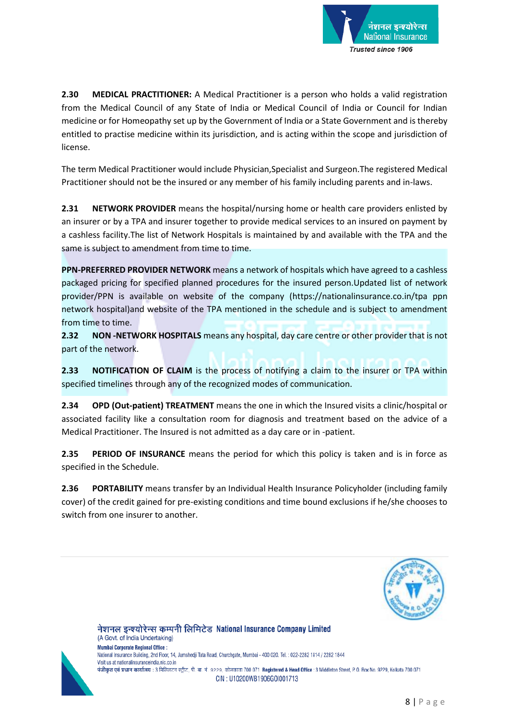

**2.30 MEDICAL PRACTITIONER:** A Medical Practitioner is a person who holds a valid registration from the Medical Council of any State of India or Medical Council of India or Council for Indian medicine or for Homeopathy set up by the Government of India or a State Government and is thereby entitled to practise medicine within its jurisdiction, and is acting within the scope and jurisdiction of license.

The term Medical Practitioner would include Physician,Specialist and Surgeon.The registered Medical Practitioner should not be the insured or any member of his family including parents and in-laws.

**2.31 NETWORK PROVIDER** means the hospital/nursing home or health care providers enlisted by an insurer or by a TPA and insurer together to provide medical services to an insured on payment by a cashless facility.The list of Network Hospitals is maintained by and available with the TPA and the same is subject to amendment from time to time.

**PPN-PREFERRED PROVIDER NETWORK** means a network of hospitals which have agreed to a cashless packaged pricing for specified planned procedures for the insured person.Updated list of network provider/PPN is available on website of the company [\(https://nationalinsurance.co.in/tpa](https://nationalinsurance.co.in/tpa) ppn network hospital)and website of the TPA mentioned in the schedule and is subject to amendment from time to time.

**2.32 NON -NETWORK HOSPITALS** means any hospital, day care centre or other provider that is not part of the network.

**2.33 NOTIFICATION OF CLAIM** is the process of notifying a claim to the insurer or TPA within specified timelines through any of the recognized modes of communication.

**2.34 OPD (Out-patient) TREATMENT** means the one in which the Insured visits a clinic/hospital or associated facility like a consultation room for diagnosis and treatment based on the advice of a Medical Practitioner. The Insured is not admitted as a day care or in -patient.

**2.35 PERIOD OF INSURANCE** means the period for which this policy is taken and is in force as specified in the Schedule.

**2.36 PORTABILITY** means transfer by an Individual Health Insurance Policyholder (including family cover) of the credit gained for pre-existing conditions and time bound exclusions if he/she chooses to switch from one insurer to another.





(A Govt. of India Undertaking) **Mumbai Corporate Regional Office:** National Insurance Building, 2nd Floor, 14, Jamshedji Tata Road, Churchgate, Mumbai - 400 020. Tel. : 022-2282 1814 / 2282 1844 Visit us at nationalinsuranceindia.nic.co.in पंजीकृत एवं प्रधान कार्यालय : 3 मिडिलटन स्ट्रीट, पी. बा. नं. 9229, कोलकाता 700 071 Registered & Head Office : 3 Middleton Street, P. O. Box No. 9229, Kolkata 700 071 CIN: U10200WB1906G0I001713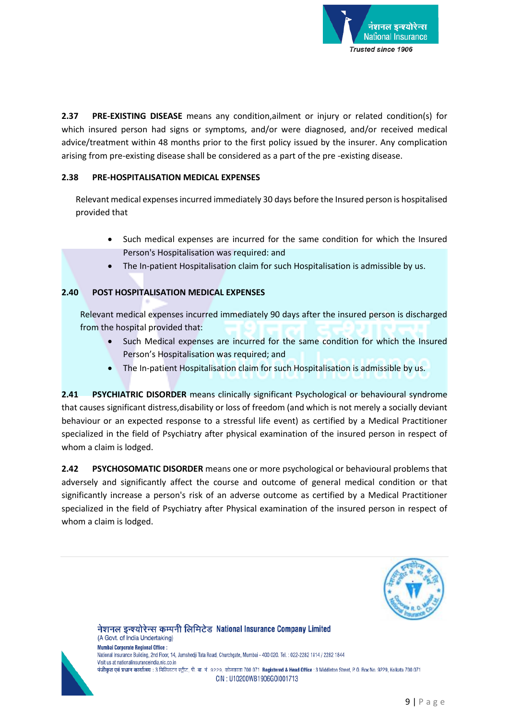

**2.37 PRE-EXISTING DISEASE** means any condition,ailment or injury or related condition(s) for which insured person had signs or symptoms, and/or were diagnosed, and/or received medical advice/treatment within 48 months prior to the first policy issued by the insurer. Any complication arising from pre-existing disease shall be considered as a part of the pre -existing disease.

### **2.38 PRE-HOSPITALISATION MEDICAL EXPENSES**

Relevant medical expenses incurred immediately 30 days before the Insured person is hospitalised provided that

- Such medical expenses are incurred for the same condition for which the Insured Person's Hospitalisation was required: and
- The In-patient Hospitalisation claim for such Hospitalisation is admissible by us.

# **2.40 POST HOSPITALISATION MEDICAL EXPENSES**

Relevant medical expenses incurred immediately 90 days after the insured person is discharged from the hospital provided that:

- Such Medical expenses are incurred for the same condition for which the Insured Person's Hospitalisation was required; and
- The In-patient Hospitalisation claim for such Hospitalisation is admissible by us.

**2.41 PSYCHIATRIC DISORDER** means clinically significant Psychological or behavioural syndrome that causes significant distress,disability or loss of freedom (and which is not merely a socially deviant behaviour or an expected response to a stressful life event) as certified by a Medical Practitioner specialized in the field of Psychiatry after physical examination of the insured person in respect of whom a claim is lodged.

**2.42 PSYCHOSOMATIC DISORDER** means one or more psychological or behavioural problems that adversely and significantly affect the course and outcome of general medical condition or that significantly increase a person's risk of an adverse outcome as certified by a Medical Practitioner specialized in the field of Psychiatry after Physical examination of the insured person in respect of whom a claim is lodged.





(A Govt. of India Undertaking) **Mumbai Corporate Regional Office:** National Insurance Building, 2nd Floor, 14, Jamshedji Tata Road, Churchgate, Mumbai - 400 020. Tel. : 022-2282 1814 / 2282 1844 Visit us at nationalinsuranceindia nic co in पंजीकृत एवं प्रधान कार्यालय : 3 मिडिलटन स्ट्रीट, पी. बा. नं. 9229, कोलकाता 700 071 Registered & Head Office : 3 Middleton Street, P. O. Box No. 9229, Kolkata 700 071 CIN: U10200WB1906G0I001713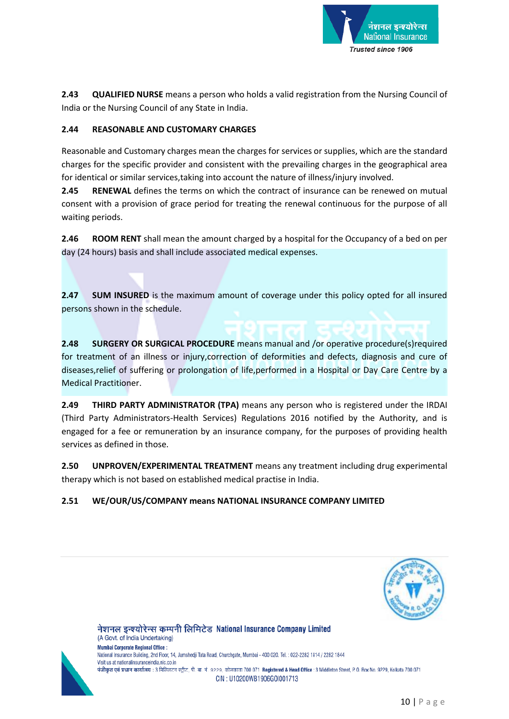

**2.43 QUALIFIED NURSE** means a person who holds a valid registration from the Nursing Council of India or the Nursing Council of any State in India.

# **2.44 REASONABLE AND CUSTOMARY CHARGES**

Reasonable and Customary charges mean the charges for services or supplies, which are the standard charges for the specific provider and consistent with the prevailing charges in the geographical area for identical or similar services,taking into account the nature of illness/injury involved.

**2.45 RENEWAL** defines the terms on which the contract of insurance can be renewed on mutual consent with a provision of grace period for treating the renewal continuous for the purpose of all waiting periods.

**2.46 ROOM RENT** shall mean the amount charged by a hospital for the Occupancy of a bed on per day (24 hours) basis and shall include associated medical expenses.

**2.47 SUM INSURED** is the maximum amount of coverage under this policy opted for all insured persons shown in the schedule.

**2.48 SURGERY OR SURGICAL PROCEDURE** means manual and /or operative procedure(s)required for treatment of an illness or injury,correction of deformities and defects, diagnosis and cure of diseases,relief of suffering or prolongation of life,performed in a Hospital or Day Care Centre by a Medical Practitioner.

**2.49 THIRD PARTY ADMINISTRATOR (TPA)** means any person who is registered under the IRDAI (Third Party Administrators-Health Services) Regulations 2016 notified by the Authority, and is engaged for a fee or remuneration by an insurance company, for the purposes of providing health services as defined in those.

**2.50 UNPROVEN/EXPERIMENTAL TREATMENT** means any treatment including drug experimental therapy which is not based on established medical practise in India.

# **2.51 WE/OUR/US/COMPANY means NATIONAL INSURANCE COMPANY LIMITED**

नेशनल इन्श्योरेन्स कम्पनी लिमिटेड National Insurance Company Limited





(A Govt. of India Undertaking) **Mumbai Corporate Regional Office:** National Insurance Building, 2nd Floor, 14, Jamshedji Tata Road, Churchgate, Mumbai - 400 020. Tel. : 022-2282 1814 / 2282 1844 Visit us at nationalinsuranceindia nic co in पंजीकृत एवं प्रधान कार्यालय : 3 मिडिलटन स्ट्रीट, पी. बा. नं. 9229, कोलकाता 700 071 Registered & Head Office : 3 Middleton Street, P. O. Box No. 9229, Kolkata 700 071 CIN: U10200WB1906G0I001713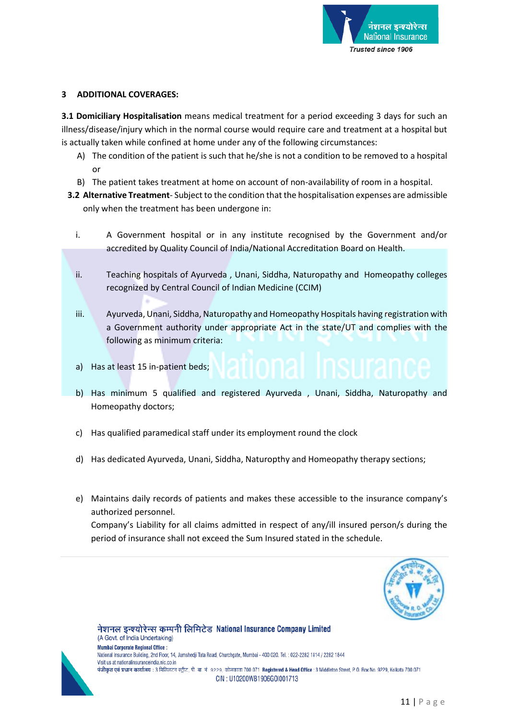

### **3 ADDITIONAL COVERAGES:**

**3.1 Domiciliary Hospitalisation** means medical treatment for a period exceeding 3 days for such an illness/disease/injury which in the normal course would require care and treatment at a hospital but is actually taken while confined at home under any of the following circumstances:

- A) The condition of the patient is such that he/she is not a condition to be removed to a hospital or
- B) The patient takes treatment at home on account of non-availability of room in a hospital.
- **3.2 Alternative Treatment** Subject to the condition that the hospitalisation expenses are admissible only when the treatment has been undergone in:
	- i. A Government hospital or in any institute recognised by the Government and/or accredited by Quality Council of India/National Accreditation Board on Health.
	- ii. Teaching hospitals of Ayurveda , Unani, Siddha, Naturopathy and Homeopathy colleges recognized by Central Council of Indian Medicine (CCIM)
	- iii. Ayurveda, Unani, Siddha, Naturopathy and Homeopathy Hospitals having registration with a Government authority under appropriate Act in the state/UT and complies with the following as minimum criteria:
	- a) Has at least 15 in-patient beds;
	- b) Has minimum 5 qualified and registered Ayurveda , Unani, Siddha, Naturopathy and Homeopathy doctors;
	- c) Has qualified paramedical staff under its employment round the clock

नेशनल इन्श्योरेन्स कम्पनी लिमिटेड National Insurance Company Limited

- d) Has dedicated Ayurveda, Unani, Siddha, Naturopthy and Homeopathy therapy sections;
- e) Maintains daily records of patients and makes these accessible to the insurance company's authorized personnel.

Company's Liability for all claims admitted in respect of any/ill insured person/s during the period of insurance shall not exceed the Sum Insured stated in the schedule.



(A Govt. of India Undertaking) **Mumbai Corporate Regional Office:** National Insurance Building, 2nd Floor, 14, Jamshedji Tata Road, Churchgate, Mumbai - 400 020. Tel. : 022-2282 1814 / 2282 1844 Visit us at nationalinsuranceindia.nic.co.in पंजीकृत एवं प्रधान कार्यालय : 3 मिडिलटन स्ट्रीट, पी. बा. नं. 9229, कोलकाता 700 071 Registered & Head Office : 3 Middleton Street, P. O. Box No. 9229, Kolkata 700 071 CIN: U10200WB1906G0I001713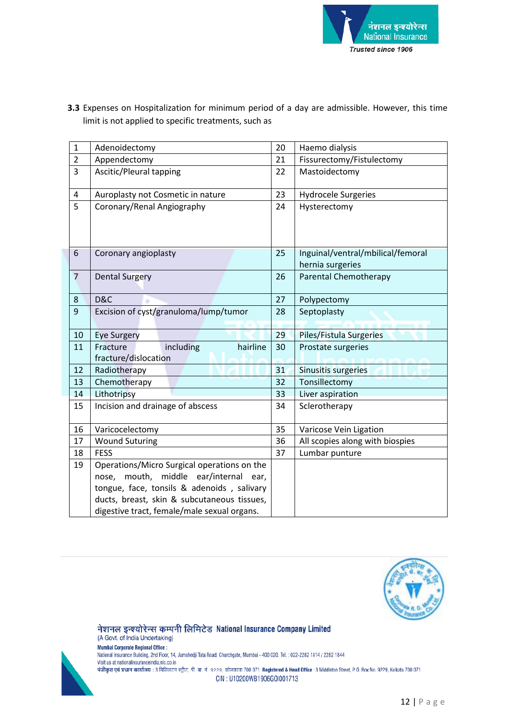

| $\mathbf{1}$   | Adenoidectomy                                             | 20 | Haemo dialysis                    |  |
|----------------|-----------------------------------------------------------|----|-----------------------------------|--|
| $\overline{2}$ | Appendectomy                                              |    | Fissurectomy/Fistulectomy         |  |
| 3              | Ascitic/Pleural tapping                                   | 22 | Mastoidectomy                     |  |
| 4              | Auroplasty not Cosmetic in nature                         | 23 | <b>Hydrocele Surgeries</b>        |  |
| 5              | Coronary/Renal Angiography                                | 24 | Hysterectomy                      |  |
| 6              | Coronary angioplasty                                      | 25 | Inguinal/ventral/mbilical/femoral |  |
|                |                                                           |    | hernia surgeries                  |  |
| $\overline{7}$ | <b>Dental Surgery</b>                                     | 26 | Parental Chemotherapy             |  |
| 8              | D&C                                                       | 27 | Polypectomy                       |  |
| $\overline{9}$ | Excision of cyst/granuloma/lump/tumor                     | 28 | Septoplasty                       |  |
| 10             | <b>Eye Surgery</b>                                        | 29 | Piles/Fistula Surgeries           |  |
| 11             | including<br>hairline<br>Fracture<br>fracture/dislocation | 30 | Prostate surgeries                |  |
| 12             | Radiotherapy                                              | 31 | Sinusitis surgeries               |  |
| 13             | Chemotherapy                                              | 32 | Tonsillectomy                     |  |
| 14             | Lithotripsy                                               | 33 | Liver aspiration                  |  |
| 15             | Incision and drainage of abscess                          | 34 | Sclerotherapy                     |  |
| 16             | Varicocelectomy                                           | 35 | Varicose Vein Ligation            |  |
| 17             | <b>Wound Suturing</b>                                     | 36 | All scopies along with biospies   |  |
| 18             | <b>FESS</b>                                               | 37 | Lumbar punture                    |  |
| 19             | Operations/Micro Surgical operations on the               |    |                                   |  |
|                | nose, mouth, middle ear/internal ear,                     |    |                                   |  |
|                | tongue, face, tonsils & adenoids, salivary                |    |                                   |  |
|                | ducts, breast, skin & subcutaneous tissues,               |    |                                   |  |
|                | digestive tract, female/male sexual organs.               |    |                                   |  |

**3.3** Expenses on Hospitalization for minimum period of a day are admissible. However, this time limit is not applied to specific treatments, such as





(A Govt. of India Undertaking) **Mumbai Corporate Regional Office:** National Insurance Building, 2nd Floor, 14, Jamshedji Tata Road, Churchgate, Mumbai - 400 020. Tel.: 022-2282 1814 / 2282 1844 Visit us at nationalinsuranceindia.nic.co.in पंजीकृत एवं प्रधान कार्यालय : 3 मिडिलटन स्ट्रीट, पी. बा. नं. 9229, कोलकाता 700 071 Registered & Head Office : 3 Middleton Street, P. O. Box No. 9229, Kolkata 700 071 CIN: U10200WB1906G0I001713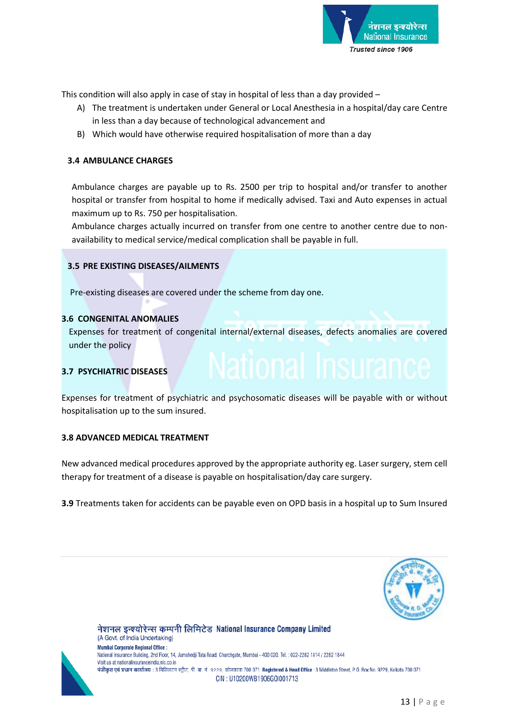

This condition will also apply in case of stay in hospital of less than a day provided –

- A) The treatment is undertaken under General or Local Anesthesia in a hospital/day care Centre in less than a day because of technological advancement and
- B) Which would have otherwise required hospitalisation of more than a day

### **3.4 AMBULANCE CHARGES**

Ambulance charges are payable up to Rs. 2500 per trip to hospital and/or transfer to another hospital or transfer from hospital to home if medically advised. Taxi and Auto expenses in actual maximum up to Rs. 750 per hospitalisation.

Ambulance charges actually incurred on transfer from one centre to another centre due to nonavailability to medical service/medical complication shall be payable in full.

#### **3.5 PRE EXISTING DISEASES/AILMENTS**

Pre-existing diseases are covered under the scheme from day one.

### **3.6 CONGENITAL ANOMALIES**

Expenses for treatment of congenital internal/external diseases, defects anomalies are covered under the policy

# **3.7 PSYCHIATRIC DISEASES**

Expenses for treatment of psychiatric and psychosomatic diseases will be payable with or without hospitalisation up to the sum insured.

#### **3.8 ADVANCED MEDICAL TREATMENT**

New advanced medical procedures approved by the appropriate authority eg. Laser surgery, stem cell therapy for treatment of a disease is payable on hospitalisation/day care surgery.

**3.9** Treatments taken for accidents can be payable even on OPD basis in a hospital up to Sum Insured





(A Govt. of India Undertaking) **Mumbai Corporate Regional Office:** National Insurance Building, 2nd Floor, 14, Jamshedji Tata Road, Churchgate, Mumbai - 400 020. Tel.: 022-2282 1814 / 2282 1844 Visit us at nationalinsuranceindia.nic.co.in पंजीकृत एवं प्रधान कार्यालय : 3 मिडिलटन स्ट्रीट, पी. बा. नं. 9229, कोलकाता 700 071 Registered & Head Office : 3 Middleton Street, P. O. Box No. 9229, Kolkata 700 071 CIN: U10200WB1906G0I001713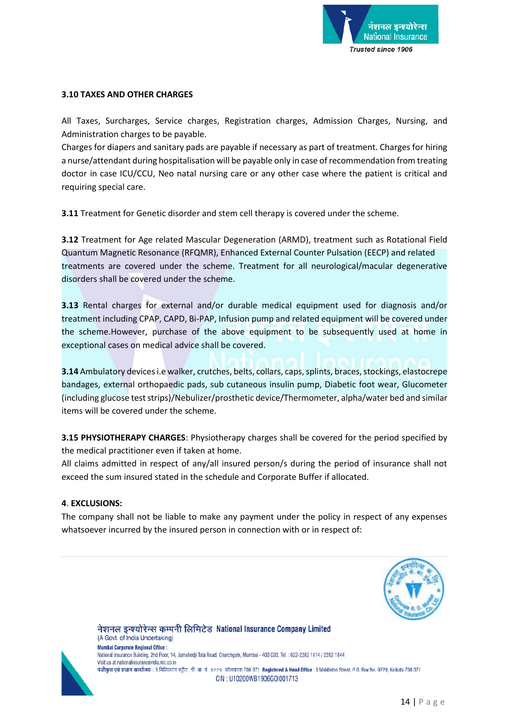

### **3.10 TAXES AND OTHER CHARGES**

All Taxes, Surcharges, Service charges, Registration charges, Admission Charges, Nursing, and Administration charges to be payable.

Charges for diapers and sanitary pads are payable if necessary as part of treatment. Charges for hiring a nurse/attendant during hospitalisation will be payable only in case of recommendation from treating doctor in case ICU/CCU, Neo natal nursing care or any other case where the patient is critical and requiring special care.

**3.11** Treatment for Genetic disorder and stem cell therapy is covered under the scheme.

**3.12** Treatment for Age related Mascular Degeneration (ARMD), treatment such as Rotational Field Quantum Magnetic Resonance (RFQMR), Enhanced External Counter Pulsation (EECP) and related treatments are covered under the scheme. Treatment for all neurological/macular degenerative disorders shall be covered under the scheme.

**3.13** Rental charges for external and/or durable medical equipment used for diagnosis and/or treatment including CPAP, CAPD, Bi-PAP, Infusion pump and related equipment will be covered under the scheme.However, purchase of the above equipment to be subsequently used at home in exceptional cases on medical advice shall be covered.

**3.14** Ambulatory devices i.e walker, crutches, belts, collars, caps, splints, braces, stockings, elastocrepe bandages, external orthopaedic pads, sub cutaneous insulin pump, Diabetic foot wear, Glucometer (including glucose test strips)/Nebulizer/prosthetic device/Thermometer, alpha/water bed and similar items will be covered under the scheme.

**3.15 PHYSIOTHERAPY CHARGES**: Physiotherapy charges shall be covered for the period specified by the medical practitioner even if taken at home.

All claims admitted in respect of any/all insured person/s during the period of insurance shall not exceed the sum insured stated in the schedule and Corporate Buffer if allocated.

#### **4**. **EXCLUSIONS:**

The company shall not be liable to make any payment under the policy in respect of any expenses whatsoever incurred by the insured person in connection with or in respect of:





(A Govt. of India Undertaking) **Mumbai Corporate Regional Office:** National Insurance Building, 2nd Floor, 14, Jamshedji Tata Road, Churchgate, Mumbai - 400 020. Tel. : 022-2282 1814 / 2282 1844 Visit us at nationalinsuranceindia.nic.co.in पंजीकृत एवं प्रधान कार्यालय : 3 मिडिलटन स्ट्रीट, पी. बा. नं. 9229, कोलकाता 700 071 Registered & Head Office : 3 Middleton Street, P. O. Box No. 9229, Kolkata 700 071 CIN: U10200WB1906G0I001713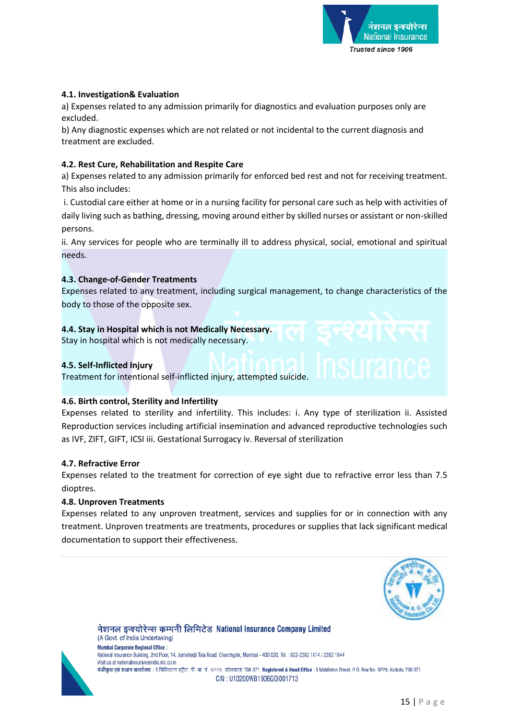

### **4.1. Investigation& Evaluation**

a) Expenses related to any admission primarily for diagnostics and evaluation purposes only are excluded.

b) Any diagnostic expenses which are not related or not incidental to the current diagnosis and treatment are excluded.

### **4.2. Rest Cure, Rehabilitation and Respite Care**

a) Expenses related to any admission primarily for enforced bed rest and not for receiving treatment. This also includes:

i. Custodial care either at home or in a nursing facility for personal care such as help with activities of daily living such as bathing, dressing, moving around either by skilled nurses or assistant or non-skilled persons.

ii. Any services for people who are terminally ill to address physical, social, emotional and spiritual needs.

### **4.3. Change-of-Gender Treatments**

Expenses related to any treatment, including surgical management, to change characteristics of the body to those of the opposite sex.

# **4.4. Stay in Hospital which is not Medically Necessary.**

Stay in hospital which is not medically necessary.

### **4.5. Self-Inflicted Injury**

Treatment for intentional self-inflicted injury, attempted suicide.

# **4.6. Birth control, Sterility and Infertility**

Expenses related to sterility and infertility. This includes: i. Any type of sterilization ii. Assisted Reproduction services including artificial insemination and advanced reproductive technologies such as IVF, ZIFT, GIFT, ICSI iii. Gestational Surrogacy iv. Reversal of sterilization

#### **4.7. Refractive Error**

Expenses related to the treatment for correction of eye sight due to refractive error less than 7.5 dioptres.

#### **4.8. Unproven Treatments**

Expenses related to any unproven treatment, services and supplies for or in connection with any treatment. Unproven treatments are treatments, procedures or supplies that lack significant medical documentation to support their effectiveness.





(A Govt. of India Undertaking) **Mumbai Corporate Regional Office:** National Insurance Building, 2nd Floor, 14, Jamshedji Tata Road, Churchgate, Mumbai - 400 020. Tel. : 022-2282 1814 / 2282 1844 Visit us at nationalinsuranceindia.nic.co.in पंजीकृत एवं प्रधान कार्यालय : 3 मिडिलटन स्ट्रीट, पी. बा. नं. 9229, कोलकाता 700 071 Registered & Head Office : 3 Middleton Street, P. O. Box No. 9229, Kolkata 700 071 CIN: U10200WB1906G0I001713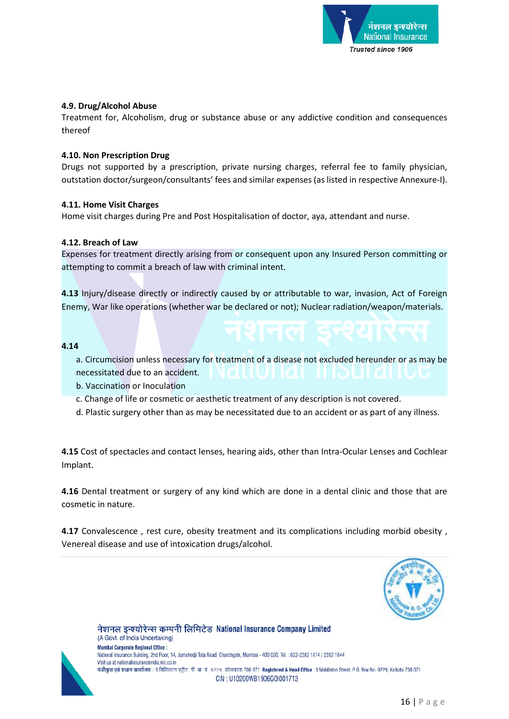

### **4.9. Drug/Alcohol Abuse**

Treatment for, Alcoholism, drug or substance abuse or any addictive condition and consequences thereof

#### **4.10. Non Prescription Drug**

Drugs not supported by a prescription, private nursing charges, referral fee to family physician, outstation doctor/surgeon/consultants' fees and similar expenses (as listed in respective Annexure-I).

### **4.11. Home Visit Charges**

Home visit charges during Pre and Post Hospitalisation of doctor, aya, attendant and nurse.

### **4.12. Breach of Law**

Expenses for treatment directly arising from or consequent upon any Insured Person committing or attempting to commit a breach of law with criminal intent.

**4.13** Injury/disease directly or indirectly caused by or attributable to war, invasion, Act of Foreign Enemy, War like operations (whether war be declared or not); Nuclear radiation/weapon/materials.

#### **4.14**

- a. Circumcision unless necessary for treatment of a disease not excluded hereunder or as may be
- necessitated due to an accident.
- b. Vaccination or Inoculation
- c. Change of life or cosmetic or aesthetic treatment of any description is not covered.
- d. Plastic surgery other than as may be necessitated due to an accident or as part of any illness.

**4.15** Cost of spectacles and contact lenses, hearing aids, other than Intra-Ocular Lenses and Cochlear Implant.

**4.16** Dental treatment or surgery of any kind which are done in a dental clinic and those that are cosmetic in nature.

**4.17** Convalescence , rest cure, obesity treatment and its complications including morbid obesity , Venereal disease and use of intoxication drugs/alcohol.





(A Govt. of India Undertaking) **Mumbai Corporate Regional Office:** National Insurance Building, 2nd Floor, 14, Jamshedji Tata Road, Churchgate, Mumbai - 400 020. Tel. : 022-2282 1814 / 2282 1844 Visit us at nationalinsuranceindia.nic.co.in पंजीकृत एवं प्रधान कार्यालय : 3 मिडिलटन स्ट्रीट, पी. बा. नं. 9229, कोलकाता 700 071 Registered & Head Office : 3 Middleton Street, P. O. Box No. 9229, Kolkata 700 071 CIN: U10200WB1906G0I001713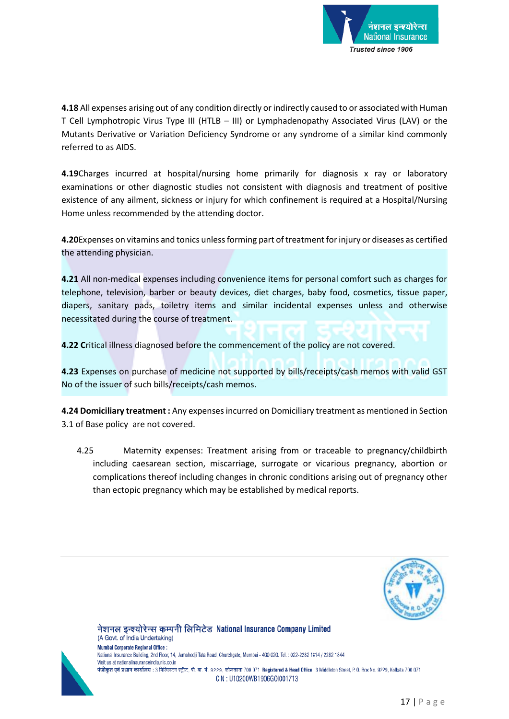

**4.18** All expenses arising out of any condition directly or indirectly caused to or associated with Human T Cell Lymphotropic Virus Type III (HTLB – III) or Lymphadenopathy Associated Virus (LAV) or the Mutants Derivative or Variation Deficiency Syndrome or any syndrome of a similar kind commonly referred to as AIDS.

**4.19**Charges incurred at hospital/nursing home primarily for diagnosis x ray or laboratory examinations or other diagnostic studies not consistent with diagnosis and treatment of positive existence of any ailment, sickness or injury for which confinement is required at a Hospital/Nursing Home unless recommended by the attending doctor.

**4.20**Expenses on vitamins and tonics unless forming part of treatment for injury or diseases as certified the attending physician.

**4.21** All non-medical expenses including convenience items for personal comfort such as charges for telephone, television, barber or beauty devices, diet charges, baby food, cosmetics, tissue paper, diapers, sanitary pads, toiletry items and similar incidental expenses unless and otherwise necessitated during the course of treatment.

**4.22 C**ritical illness diagnosed before the commencement of the policy are not covered.

**4.23** Expenses on purchase of medicine not supported by bills/receipts/cash memos with valid GST No of the issuer of such bills/receipts/cash memos.

**4.24 Domiciliary treatment :** Any expenses incurred on Domiciliary treatment as mentioned in Section 3.1 of Base policy are not covered.

4.25 Maternity expenses: Treatment arising from or traceable to pregnancy/childbirth including caesarean section, miscarriage, surrogate or vicarious pregnancy, abortion or complications thereof including changes in chronic conditions arising out of pregnancy other than ectopic pregnancy which may be established by medical reports.





(A Govt. of India Undertaking) **Mumbai Corporate Regional Office:** National Insurance Building, 2nd Floor, 14, Jamshedji Tata Road, Churchgate, Mumbai - 400 020. Tel. : 022-2282 1814 / 2282 1844 Visit us at nationalinsuranceindia nic co in पंजीकृत एवं प्रधान कार्यालय : 3 मिडिलटन स्ट्रीट, पी. बा. नं. 9229, कोलकाता 700 071 Registered & Head Office : 3 Middleton Street, P. O. Box No. 9229, Kolkata 700 071 CIN: U10200WB1906G0I001713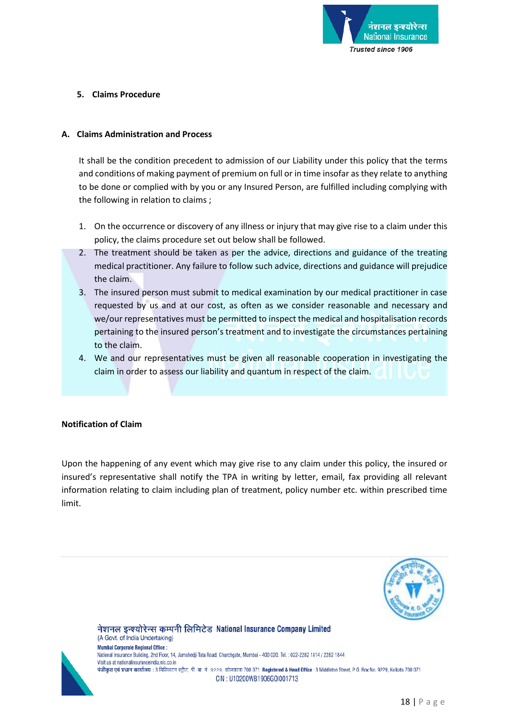

### **5. Claims Procedure**

#### **A. Claims Administration and Process**

It shall be the condition precedent to admission of our Liability under this policy that the terms and conditions of making payment of premium on full or in time insofar as they relate to anything to be done or complied with by you or any Insured Person, are fulfilled including complying with the following in relation to claims ;

- 1. On the occurrence or discovery of any illness or injury that may give rise to a claim under this policy, the claims procedure set out below shall be followed.
- 2. The treatment should be taken as per the advice, directions and guidance of the treating medical practitioner. Any failure to follow such advice, directions and guidance will prejudice the claim.
- 3. The insured person must submit to medical examination by our medical practitioner in case requested by us and at our cost, as often as we consider reasonable and necessary and we/our representatives must be permitted to inspect the medical and hospitalisation records pertaining to the insured person's treatment and to investigate the circumstances pertaining to the claim.
- 4. We and our representatives must be given all reasonable cooperation in investigating the claim in order to assess our liability and quantum in respect of the claim.

#### **Notification of Claim**

Upon the happening of any event which may give rise to any claim under this policy, the insured or insured's representative shall notify the TPA in writing by letter, email, fax providing all relevant information relating to claim including plan of treatment, policy number etc. within prescribed time limit.





(A Govt. of India Undertaking) **Mumbai Corporate Regional Office:** National Insurance Building, 2nd Floor, 14, Jamshedji Tata Road, Churchgate, Mumbai - 400 020. Tel. : 022-2282 1814 / 2282 1844 Visit us at nationalinsuranceindia.nic.co.in पंजीकृत एवं प्रधान कार्यालय : 3 मिडिलटन स्ट्रीट, पी. बा. नं. 9229, कोलकाता 700 071 Registered & Head Office : 3 Middleton Street, P. O. Box No. 9229, Kolkata 700 071 CIN: U10200WB1906G0I001713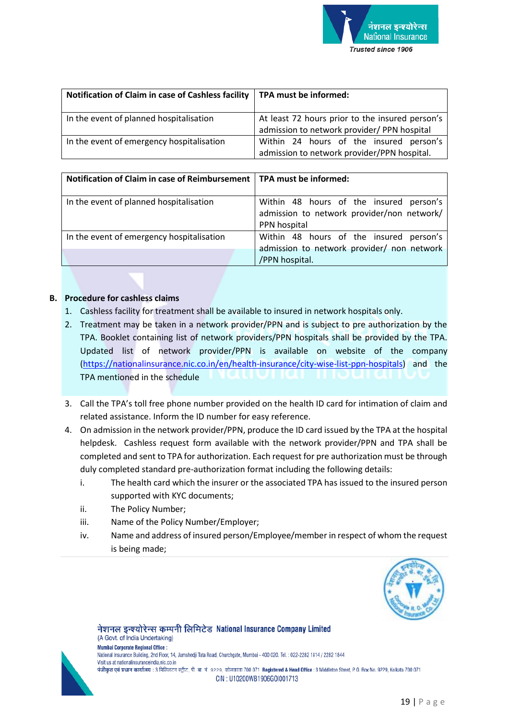

| Notification of Claim in case of Cashless facility | TPA must be informed:                                                                          |
|----------------------------------------------------|------------------------------------------------------------------------------------------------|
| In the event of planned hospitalisation            | At least 72 hours prior to the insured person's<br>admission to network provider/ PPN hospital |
| In the event of emergency hospitalisation          | Within 24 hours of the insured person's<br>admission to network provider/PPN hospital.         |

| Notification of Claim in case of Reimbursement   TPA must be informed: |                                                                                                       |  |
|------------------------------------------------------------------------|-------------------------------------------------------------------------------------------------------|--|
| In the event of planned hospitalisation                                | Within 48 hours of the insured person's<br>admission to network provider/non network/<br>PPN hospital |  |
| In the event of emergency hospitalisation                              | Within 48 hours of the insured person's<br>admission to network provider/ non network                 |  |
|                                                                        | /PPN hospital.                                                                                        |  |

### **B. Procedure for cashless claims**

- 1. Cashless facility for treatment shall be available to insured in network hospitals only.
- 2. Treatment may be taken in a network provider/PPN and is subject to pre authorization by the TPA. Booklet containing list of network providers/PPN hospitals shall be provided by the TPA. Updated list of network provider/PPN is available on website of the company [\(https://nationalinsurance.nic.co.in/en/health-insurance/city-wise-list-ppn-hospitals\)](https://nationalinsurance.nic.co.in/en/health-insurance/city-wise-list-ppn-hospitals) and the TPA mentioned in the schedule
- 3. Call the TPA's toll free phone number provided on the health ID card for intimation of claim and related assistance. Inform the ID number for easy reference.
- 4. On admission in the network provider/PPN, produce the ID card issued by the TPA at the hospital helpdesk. Cashless request form available with the network provider/PPN and TPA shall be completed and sent to TPA for authorization. Each request for pre authorization must be through duly completed standard pre-authorization format including the following details:
	- i. The health card which the insurer or the associated TPA has issued to the insured person supported with KYC documents;
	- ii. The Policy Number;
	- iii. Name of the Policy Number/Employer;
	- iv. Name and address of insured person/Employee/member in respect of whom the request is being made;





(A Govt. of India Undertaking) **Mumbai Corporate Regional Office:** National Insurance Building, 2nd Floor, 14, Jamshedji Tata Road, Churchgate, Mumbai - 400 020. Tel. : 022-2282 1814 / 2282 1844 Visit us at nationalinsuranceindia.nic.co.in पंजीकृत एवं प्रधान कार्यालय : 3 मिडिलटन स्ट्रीट, पी. बा. नं. 9229, कोलकाता 700 071 Registered & Head Office : 3 Middleton Street, P. O. Box No. 9229, Kolkata 700 071 CIN: U10200WB1906G0I001713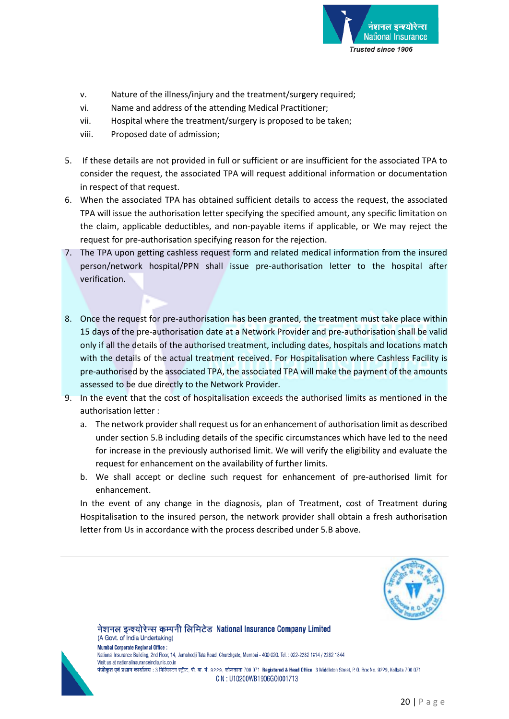

- v. Nature of the illness/injury and the treatment/surgery required;
- vi. Name and address of the attending Medical Practitioner;
- vii. Hospital where the treatment/surgery is proposed to be taken;
- viii. Proposed date of admission;
- 5. If these details are not provided in full or sufficient or are insufficient for the associated TPA to consider the request, the associated TPA will request additional information or documentation in respect of that request.
- 6. When the associated TPA has obtained sufficient details to access the request, the associated TPA will issue the authorisation letter specifying the specified amount, any specific limitation on the claim, applicable deductibles, and non-payable items if applicable, or We may reject the request for pre-authorisation specifying reason for the rejection.
- 7. The TPA upon getting cashless request form and related medical information from the insured person/network hospital/PPN shall issue pre-authorisation letter to the hospital after verification.
- 8. Once the request for pre-authorisation has been granted, the treatment must take place within 15 days of the pre-authorisation date at a Network Provider and pre-authorisation shall be valid only if all the details of the authorised treatment, including dates, hospitals and locations match with the details of the actual treatment received. For Hospitalisation where Cashless Facility is pre-authorised by the associated TPA, the associated TPA will make the payment of the amounts assessed to be due directly to the Network Provider.
- 9. In the event that the cost of hospitalisation exceeds the authorised limits as mentioned in the authorisation letter :
	- a. The network provider shall request us for an enhancement of authorisation limit as described under section 5.B including details of the specific circumstances which have led to the need for increase in the previously authorised limit. We will verify the eligibility and evaluate the request for enhancement on the availability of further limits.
	- b. We shall accept or decline such request for enhancement of pre-authorised limit for enhancement.

In the event of any change in the diagnosis, plan of Treatment, cost of Treatment during Hospitalisation to the insured person, the network provider shall obtain a fresh authorisation letter from Us in accordance with the process described under 5.B above.





(A Govt. of India Undertaking) **Mumbai Corporate Regional Office:** National Insurance Building, 2nd Floor, 14, Jamshedji Tata Road, Churchgate, Mumbai - 400 020. Tel. : 022-2282 1814 / 2282 1844 Visit us at nationalinsuranceindia nic co in पंजीकृत एवं प्रधान कार्यालय : 3 मिडिलटन स्ट्रीट, पी. बा. नं. 9229, कोलकाता 700 071 Registered & Head Office : 3 Middleton Street, P. O. Box No. 9229, Kolkata 700 071 CIN: U10200WB1906G0I001713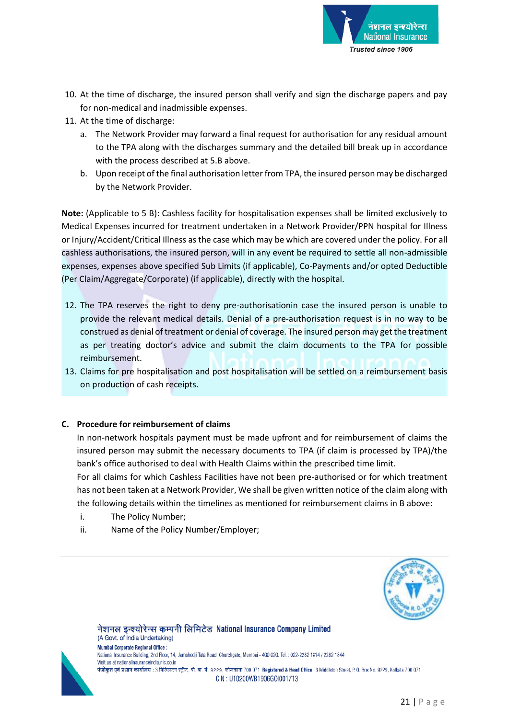

- 10. At the time of discharge, the insured person shall verify and sign the discharge papers and pay for non-medical and inadmissible expenses.
- 11. At the time of discharge:
	- a. The Network Provider may forward a final request for authorisation for any residual amount to the TPA along with the discharges summary and the detailed bill break up in accordance with the process described at 5.B above.
	- b. Upon receipt of the final authorisation letter from TPA, the insured person may be discharged by the Network Provider.

**Note:** (Applicable to 5 B): Cashless facility for hospitalisation expenses shall be limited exclusively to Medical Expenses incurred for treatment undertaken in a Network Provider/PPN hospital for Illness or Injury/Accident/Critical Illness as the case which may be which are covered under the policy. For all cashless authorisations, the insured person, will in any event be required to settle all non-admissible expenses, expenses above specified Sub Limits (if applicable), Co-Payments and/or opted Deductible (Per Claim/Aggregate/Corporate) (if applicable), directly with the hospital.

- 12. The TPA reserves the right to deny pre-authorisationin case the insured person is unable to provide the relevant medical details. Denial of a pre-authorisation request is in no way to be construed as denial of treatment or denial of coverage. The insured person may get the treatment as per treating doctor's advice and submit the claim documents to the TPA for possible reimbursement.
- 13. Claims for pre hospitalisation and post hospitalisation will be settled on a reimbursement basis on production of cash receipts.

#### **C. Procedure for reimbursement of claims**

In non-network hospitals payment must be made upfront and for reimbursement of claims the insured person may submit the necessary documents to TPA (if claim is processed by TPA)/the bank's office authorised to deal with Health Claims within the prescribed time limit.

For all claims for which Cashless Facilities have not been pre-authorised or for which treatment has not been taken at a Network Provider, We shall be given written notice of the claim along with the following details within the timelines as mentioned for reimbursement claims in B above:

- i. The Policy Number;
- ii. Name of the Policy Number/Employer;





(A Govt. of India Undertaking) **Mumbai Corporate Regional Office:** National Insurance Building, 2nd Floor, 14, Jamshedji Tata Road, Churchgate, Mumbai - 400 020. Tel. : 022-2282 1814 / 2282 1844 Visit us at nationalinsuranceindia.nic.co.in पंजीकृत एवं प्रधान कार्यालय : 3 मिडिलटन स्ट्रीट, पी. बा. नं. 9229, कोलकाता 700 071 Registered & Head Office : 3 Middleton Street, P. O. Box No. 9229, Kolkata 700 071 CIN: U10200WB1906G0I001713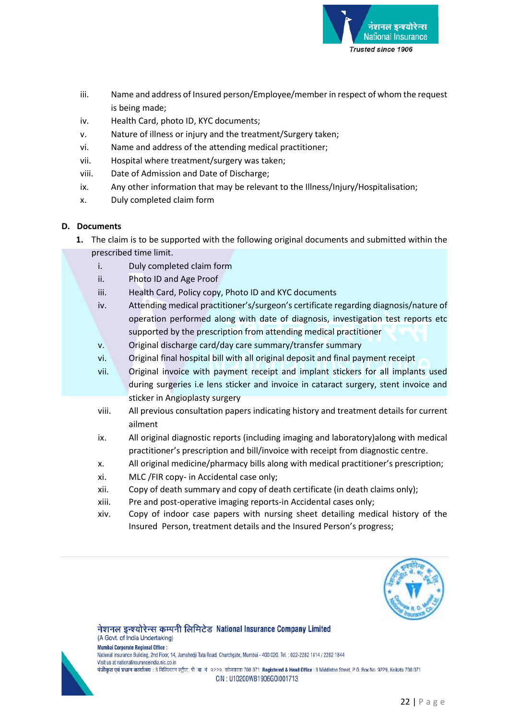

- iii. Name and address of Insured person/Employee/member in respect of whom the request is being made;
- iv. Health Card, photo ID, KYC documents;
- v. Nature of illness or injury and the treatment/Surgery taken;
- vi. Name and address of the attending medical practitioner;
- vii. Hospital where treatment/surgery was taken;
- viii. Date of Admission and Date of Discharge;
- ix. Any other information that may be relevant to the Illness/Injury/Hospitalisation;
- x. Duly completed claim form

# **D. Documents**

- **1.** The claim is to be supported with the following original documents and submitted within the prescribed time limit.
	- i. Duly completed claim form
	- ii. Photo ID and Age Proof
	- iii. Health Card, Policy copy, Photo ID and KYC documents
	- iv. Attending medical practitioner's/surgeon's certificate regarding diagnosis/nature of operation performed along with date of diagnosis, investigation test reports etc supported by the prescription from attending medical practitioner
	- v. Original discharge card/day care summary/transfer summary
	- vi. Original final hospital bill with all original deposit and final payment receipt
	- vii. Original invoice with payment receipt and implant stickers for all implants used during surgeries i.e lens sticker and invoice in cataract surgery, stent invoice and sticker in Angioplasty surgery
	- viii. All previous consultation papers indicating history and treatment details for current ailment
	- ix. All original diagnostic reports (including imaging and laboratory)along with medical practitioner's prescription and bill/invoice with receipt from diagnostic centre.
	- x. All original medicine/pharmacy bills along with medical practitioner's prescription;
	- xi. MLC /FIR copy- in Accidental case only;
	- xii. Copy of death summary and copy of death certificate (in death claims only);
	- xiii. Pre and post-operative imaging reports-in Accidental cases only;

नेशनल इन्श्योरेन्स कम्पनी लिमिटेड National Insurance Company Limited

xiv. Copy of indoor case papers with nursing sheet detailing medical history of the Insured Person, treatment details and the Insured Person's progress;





(A Govt. of India Undertaking) **Mumbai Corporate Regional Office:** National Insurance Building, 2nd Floor, 14, Jamshedji Tata Road, Churchgate, Mumbai - 400 020. Tel. : 022-2282 1814 / 2282 1844 Visit us at nationalinsuranceindia nic co in पंजीकृत एवं प्रधान कार्यालय : 3 मिडिलटन स्ट्रीट, पी. बा. नं. 9229, कोलकाता 700 071 Registered & Head Office : 3 Middleton Street, P. O. Box No. 9229, Kolkata 700 071 CIN: U10200WB1906G0I001713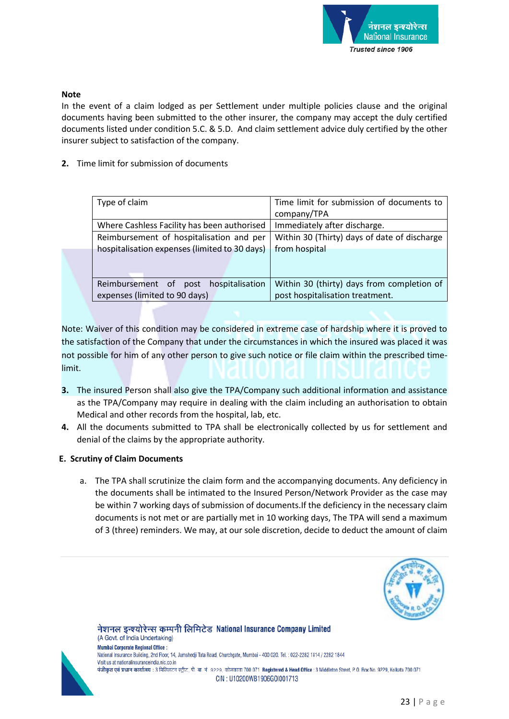

### **Note**

In the event of a claim lodged as per Settlement under multiple policies clause and the original documents having been submitted to the other insurer, the company may accept the duly certified documents listed under condition 5.C. & 5.D. And claim settlement advice duly certified by the other insurer subject to satisfaction of the company.

**2.** Time limit for submission of documents

| Time limit for submission of documents to                                                                                                                        |  |
|------------------------------------------------------------------------------------------------------------------------------------------------------------------|--|
| company/TPA                                                                                                                                                      |  |
| Immediately after discharge.                                                                                                                                     |  |
| Within 30 (Thirty) days of date of discharge                                                                                                                     |  |
| from hospital                                                                                                                                                    |  |
|                                                                                                                                                                  |  |
| Within 30 (thirty) days from completion of                                                                                                                       |  |
| post hospitalisation treatment.                                                                                                                                  |  |
| Where Cashless Facility has been authorised<br>Reimbursement of hospitalisation and per<br>hospitalisation expenses (limited to 30 days)<br>post hospitalisation |  |

Note: Waiver of this condition may be considered in extreme case of hardship where it is proved to the satisfaction of the Company that under the circumstances in which the insured was placed it was not possible for him of any other person to give such notice or file claim within the prescribed timelimit.

- **3.** The insured Person shall also give the TPA/Company such additional information and assistance as the TPA/Company may require in dealing with the claim including an authorisation to obtain Medical and other records from the hospital, lab, etc.
- **4.** All the documents submitted to TPA shall be electronically collected by us for settlement and denial of the claims by the appropriate authority.

#### **E. Scrutiny of Claim Documents**

a. The TPA shall scrutinize the claim form and the accompanying documents. Any deficiency in the documents shall be intimated to the Insured Person/Network Provider as the case may be within 7 working days of submission of documents.If the deficiency in the necessary claim documents is not met or are partially met in 10 working days, The TPA will send a maximum of 3 (three) reminders. We may, at our sole discretion, decide to deduct the amount of claim





(A Govt. of India Undertaking) **Mumbai Corporate Regional Office:** National Insurance Building, 2nd Floor, 14, Jamshedji Tata Road, Churchgate, Mumbai - 400 020. Tel.: 022-2282 1814 / 2282 1844 Visit us at nationalinsuranceindia.nic.co.in पंजीकृत एवं प्रधान कार्यालय : 3 मिडिलटन स्ट्रीट, पी. बा. नं. 9229, कोलकाता 700 071 Registered & Head Office : 3 Middleton Street, P. O. Box No. 9229, Kolkata 700 071 CIN: U10200WB1906G0I001713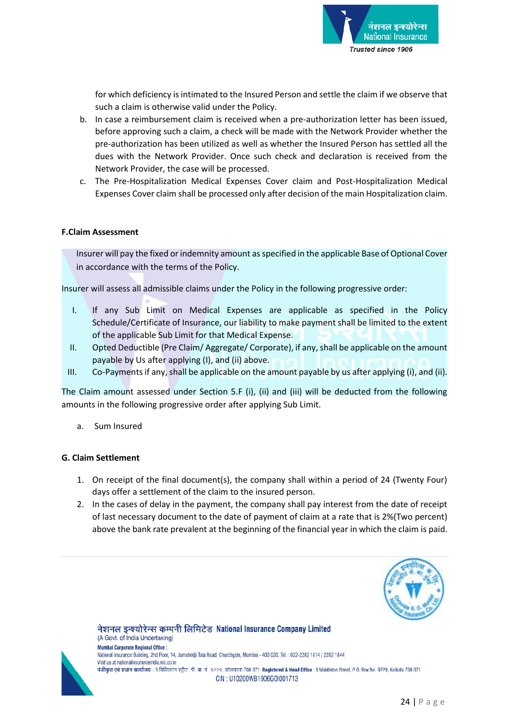

for which deficiency is intimated to the Insured Person and settle the claim if we observe that such a claim is otherwise valid under the Policy.

- b. In case a reimbursement claim is received when a pre-authorization letter has been issued, before approving such a claim, a check will be made with the Network Provider whether the pre-authorization has been utilized as well as whether the Insured Person has settled all the dues with the Network Provider. Once such check and declaration is received from the Network Provider, the case will be processed.
- c. The Pre-Hospitalization Medical Expenses Cover claim and Post-Hospitalization Medical Expenses Cover claim shall be processed only after decision of the main Hospitalization claim.

#### **F.Claim Assessment**

Insurer will pay the fixed or indemnity amount as specified in the applicable Base of Optional Cover in accordance with the terms of the Policy.

Insurer will assess all admissible claims under the Policy in the following progressive order:

- I. If any Sub Limit on Medical Expenses are applicable as specified in the Policy Schedule/Certificate of Insurance, our liability to make payment shall be limited to the extent of the applicable Sub Limit for that Medical Expense.
- II. Opted Deductible (Pre Claim/ Aggregate/ Corporate), if any, shall be applicable on the amount payable by Us after applying (I), and (ii) above.
- III. Co-Payments if any, shall be applicable on the amount payable by us after applying (i), and (ii).

The Claim amount assessed under Section 5.F (i), (ii) and (iii) will be deducted from the following amounts in the following progressive order after applying Sub Limit.

a. Sum Insured

#### **G. Claim Settlement**

- 1. On receipt of the final document(s), the company shall within a period of 24 (Twenty Four) days offer a settlement of the claim to the insured person.
- 2. In the cases of delay in the payment, the company shall pay interest from the date of receipt of last necessary document to the date of payment of claim at a rate that is 2%(Two percent) above the bank rate prevalent at the beginning of the financial year in which the claim is paid.





(A Govt. of India Undertaking) **Mumbai Corporate Regional Office:** National Insurance Building, 2nd Floor, 14, Jamshedji Tata Road, Churchgate, Mumbai - 400 020. Tel. : 022-2282 1814 / 2282 1844 Visit us at nationalinsuranceindia.nic.co.in पंजीकृत एवं प्रधान कार्यालय : 3 मिडिलटन स्ट्रीट, पी. बा. नं. 9229, कोलकाता 700 071 Registered & Head Office : 3 Middleton Street, P. O. Box No. 9229, Kolkata 700 071 CIN: U10200WB1906G0I001713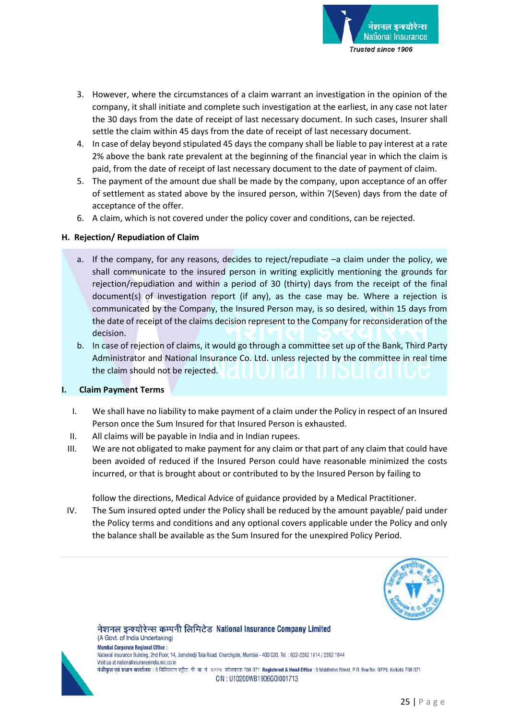

- 3. However, where the circumstances of a claim warrant an investigation in the opinion of the company, it shall initiate and complete such investigation at the earliest, in any case not later the 30 days from the date of receipt of last necessary document. In such cases, Insurer shall settle the claim within 45 days from the date of receipt of last necessary document.
- 4. In case of delay beyond stipulated 45 days the company shall be liable to pay interest at a rate 2% above the bank rate prevalent at the beginning of the financial year in which the claim is paid, from the date of receipt of last necessary document to the date of payment of claim.
- 5. The payment of the amount due shall be made by the company, upon acceptance of an offer of settlement as stated above by the insured person, within 7(Seven) days from the date of acceptance of the offer.
- 6. A claim, which is not covered under the policy cover and conditions, can be rejected.

# **H. Rejection/ Repudiation of Claim**

- a. If the company, for any reasons, decides to reject/repudiate –a claim under the policy, we shall communicate to the insured person in writing explicitly mentioning the grounds for rejection/repudiation and within a period of 30 (thirty) days from the receipt of the final document(s) of investigation report (if any), as the case may be. Where a rejection is communicated by the Company, the Insured Person may, is so desired, within 15 days from the date of receipt of the claims decision represent to the Company for reconsideration of the decision.
- b. In case of rejection of claims, it would go through a committee set up of the Bank, Third Party Administrator and National Insurance Co. Ltd. unless rejected by the committee in real time the claim should not be rejected.

# **I. Claim Payment Terms**

- I. We shall have no liability to make payment of a claim under the Policy in respect of an Insured Person once the Sum Insured for that Insured Person is exhausted.
- II. All claims will be payable in India and in Indian rupees.
- III. We are not obligated to make payment for any claim or that part of any claim that could have been avoided of reduced if the Insured Person could have reasonable minimized the costs incurred, or that is brought about or contributed to by the Insured Person by failing to

follow the directions, Medical Advice of guidance provided by a Medical Practitioner.

IV. The Sum insured opted under the Policy shall be reduced by the amount payable/ paid under the Policy terms and conditions and any optional covers applicable under the Policy and only the balance shall be available as the Sum Insured for the unexpired Policy Period.





(A Govt. of India Undertaking) Mumbai Corporate Regional Office : National Insurance Building, 2nd Floor, 14, Jamshedji Tata Road, Churchgate, Mumbai - 400 020. Tel. : 022-2282 1814 / 2282 1844 Visit us at nationalinsuranceindia nic co.in पंजीकृत एवं प्रधान कार्यालय : 3 मिडिलटन स्ट्रीट, पी. बा. नं. 9229, कोलकाता 700 071 Registered & Head Office : 3 Middleton Street, P. O. Box No. 9229, Kolkata 700 071 CIN: U10200WB1906G0I001713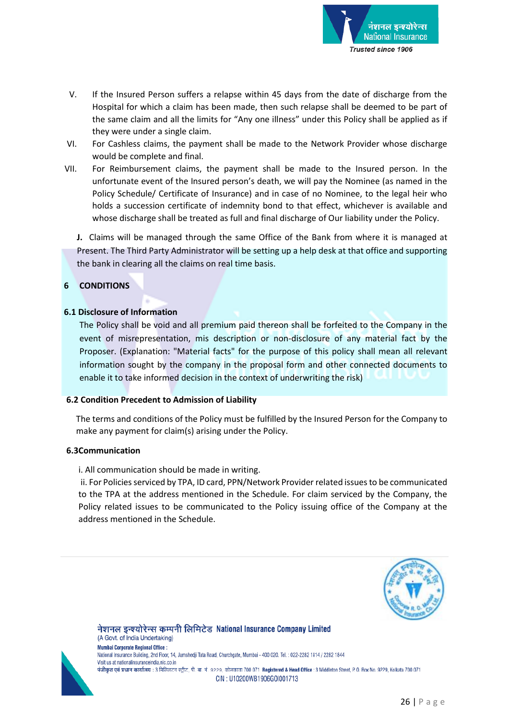

- V. If the Insured Person suffers a relapse within 45 days from the date of discharge from the Hospital for which a claim has been made, then such relapse shall be deemed to be part of the same claim and all the limits for "Any one illness" under this Policy shall be applied as if they were under a single claim.
- VI. For Cashless claims, the payment shall be made to the Network Provider whose discharge would be complete and final.
- VII. For Reimbursement claims, the payment shall be made to the Insured person. In the unfortunate event of the Insured person's death, we will pay the Nominee (as named in the Policy Schedule/ Certificate of Insurance) and in case of no Nominee, to the legal heir who holds a succession certificate of indemnity bond to that effect, whichever is available and whose discharge shall be treated as full and final discharge of Our liability under the Policy.

**J.** Claims will be managed through the same Office of the Bank from where it is managed at Present. The Third Party Administrator will be setting up a help desk at that office and supporting the bank in clearing all the claims on real time basis.

# **6 CONDITIONS**

### **6.1 Disclosure of Information**

The Policy shall be void and all premium paid thereon shall be forfeited to the Company in the event of misrepresentation, mis description or non-disclosure of any material fact by the Proposer. (Explanation: "Material facts" for the purpose of this policy shall mean all relevant information sought by the company in the proposal form and other connected documents to enable it to take informed decision in the context of underwriting the risk)

#### **6.2 Condition Precedent to Admission of Liability**

The terms and conditions of the Policy must be fulfilled by the Insured Person for the Company to make any payment for claim(s) arising under the Policy.

#### **6.3Communication**

i. All communication should be made in writing.

ii. For Policies serviced by TPA, ID card, PPN/Network Provider related issues to be communicated to the TPA at the address mentioned in the Schedule. For claim serviced by the Company, the Policy related issues to be communicated to the Policy issuing office of the Company at the address mentioned in the Schedule.





(A Govt. of India Undertaking) **Mumbai Corporate Regional Office:** National Insurance Building, 2nd Floor, 14, Jamshedji Tata Road, Churchgate, Mumbai - 400 020. Tel. : 022-2282 1814 / 2282 1844 Visit us at nationalinsuranceindia.nic.co.in पंजीकृत एवं प्रधान कार्यालय : 3 मिडिलटन स्ट्रीट, पी. बा. नं. 9229, कोलकाता 700 071 Registered & Head Office : 3 Middleton Street, P. O. Box No. 9229, Kolkata 700 071 CIN: U10200WB1906G0I001713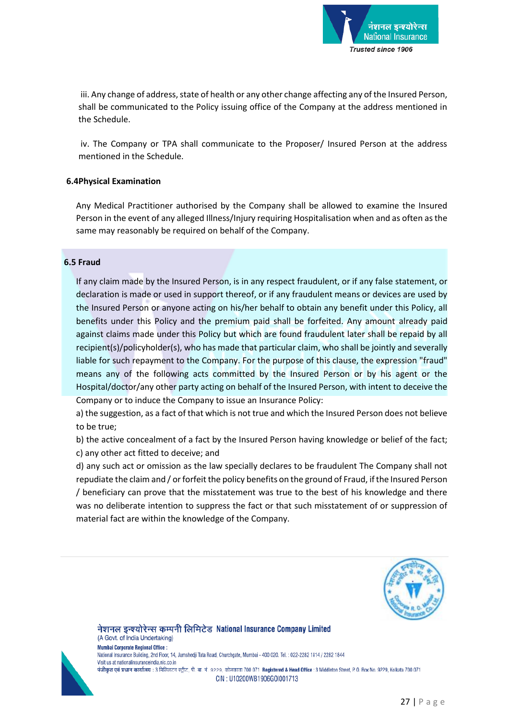

iii. Any change of address, state of health or any other change affecting any of the Insured Person, shall be communicated to the Policy issuing office of the Company at the address mentioned in the Schedule.

iv. The Company or TPA shall communicate to the Proposer/ Insured Person at the address mentioned in the Schedule.

### **6.4Physical Examination**

Any Medical Practitioner authorised by the Company shall be allowed to examine the Insured Person in the event of any alleged Illness/Injury requiring Hospitalisation when and as often as the same may reasonably be required on behalf of the Company.

#### **6.5 Fraud**

If any claim made by the Insured Person, is in any respect fraudulent, or if any false statement, or declaration is made or used in support thereof, or if any fraudulent means or devices are used by the Insured Person or anyone acting on his/her behalf to obtain any benefit under this Policy, all benefits under this Policy and the premium paid shall be forfeited. Any amount already paid against claims made under this Policy but which are found fraudulent later shall be repaid by all recipient(s)/policyholder(s), who has made that particular claim, who shall be jointly and severally liable for such repayment to the Company. For the purpose of this clause, the expression "fraud" means any of the following acts committed by the Insured Person or by his agent or the Hospital/doctor/any other party acting on behalf of the Insured Person, with intent to deceive the Company or to induce the Company to issue an Insurance Policy:

a) the suggestion, as a fact of that which is not true and which the Insured Person does not believe to be true;

b) the active concealment of a fact by the Insured Person having knowledge or belief of the fact; c) any other act fitted to deceive; and

d) any such act or omission as the law specially declares to be fraudulent The Company shall not repudiate the claim and / or forfeit the policy benefits on the ground of Fraud, if the Insured Person / beneficiary can prove that the misstatement was true to the best of his knowledge and there was no deliberate intention to suppress the fact or that such misstatement of or suppression of material fact are within the knowledge of the Company.





(A Govt. of India Undertaking) **Mumbai Corporate Regional Office:** National Insurance Building, 2nd Floor, 14, Jamshedji Tata Road, Churchgate, Mumbai - 400 020. Tel. : 022-2282 1814 / 2282 1844 Visit us at nationalinsuranceindia nic co in पंजीकृत एवं प्रधान कार्यालय : 3 मिडिलटन स्ट्रीट, पी. बा. नं. 9229, कोलकाता 700 071 Registered & Head Office : 3 Middleton Street, P. O. Box No. 9229, Kolkata 700 071 CIN: U10200WB1906G0I001713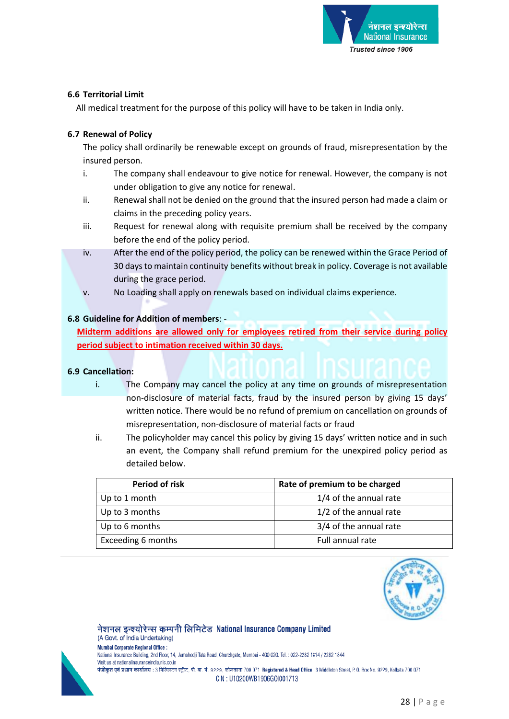

### **6.6 Territorial Limit**

All medical treatment for the purpose of this policy will have to be taken in India only.

### **6.7 Renewal of Policy**

The policy shall ordinarily be renewable except on grounds of fraud, misrepresentation by the insured person.

- i. The company shall endeavour to give notice for renewal. However, the company is not under obligation to give any notice for renewal.
- ii. Renewal shall not be denied on the ground that the insured person had made a claim or claims in the preceding policy years.
- iii. Request for renewal along with requisite premium shall be received by the company before the end of the policy period.
- iv. After the end of the policy period, the policy can be renewed within the Grace Period of 30 days to maintain continuity benefits without break in policy. Coverage is not available during the grace period.
- v. No Loading shall apply on renewals based on individual claims experience.

### **6.8 Guideline for Addition of members**: -

**Midterm additions are allowed only for employees retired from their service during policy period subject to intimation received within 30 days.** 

#### **6.9 Cancellation:**

- i. The Company may cancel the policy at any time on grounds of misrepresentation non-disclosure of material facts, fraud by the insured person by giving 15 days' written notice. There would be no refund of premium on cancellation on grounds of misrepresentation, non-disclosure of material facts or fraud
- ii. The policyholder may cancel this policy by giving 15 days' written notice and in such an event, the Company shall refund premium for the unexpired policy period as detailed below.

| Period of risk     | Rate of premium to be charged |
|--------------------|-------------------------------|
| Up to 1 month      | 1/4 of the annual rate        |
| Up to 3 months     | 1/2 of the annual rate        |
| Up to 6 months     | 3/4 of the annual rate        |
| Exceeding 6 months | Full annual rate              |





(A Govt. of India Undertaking) **Mumbai Corporate Regional Office:** National Insurance Building, 2nd Floor, 14, Jamshedji Tata Road, Churchgate, Mumbai - 400 020. Tel. : 022-2282 1814 / 2282 1844 Visit us at nationalinsuranceindia nic co in पंजीकृत एवं प्रधान कार्यालय : 3 मिडिलटन स्ट्रीट, पी. बा. नं. 9229, कोलकाता 700 071 Registered & Head Office : 3 Middleton Street, P. O. Box No. 9229, Kolkata 700 071 CIN: U10200WB1906G0I001713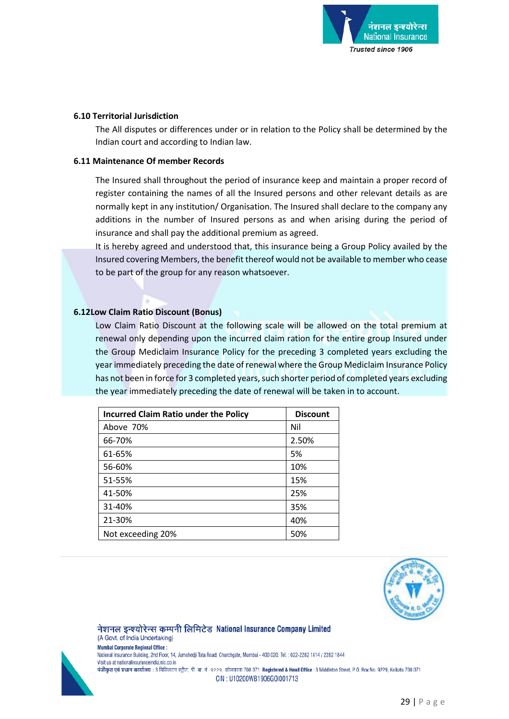

#### **6.10 Territorial Jurisdiction**

The All disputes or differences under or in relation to the Policy shall be determined by the Indian court and according to Indian law.

### **6.11 Maintenance Of member Records**

The Insured shall throughout the period of insurance keep and maintain a proper record of register containing the names of all the Insured persons and other relevant details as are normally kept in any institution/ Organisation. The Insured shall declare to the company any additions in the number of Insured persons as and when arising during the period of insurance and shall pay the additional premium as agreed.

It is hereby agreed and understood that, this insurance being a Group Policy availed by the Insured covering Members, the benefit thereof would not be available to member who cease to be part of the group for any reason whatsoever.

### **6.12Low Claim Ratio Discount (Bonus)**

Low Claim Ratio Discount at the following scale will be allowed on the total premium at renewal only depending upon the incurred claim ration for the entire group Insured under the Group Mediclaim Insurance Policy for the preceding 3 completed years excluding the year immediately preceding the date of renewal where the Group Mediclaim Insurance Policy has not been in force for 3 completed years, such shorter period of completed years excluding the year immediately preceding the date of renewal will be taken in to account.

| <b>Incurred Claim Ratio under the Policy</b> | <b>Discount</b> |
|----------------------------------------------|-----------------|
| Above 70%                                    | Nil             |
| 66-70%                                       | 2.50%           |
| 61-65%                                       | 5%              |
| 56-60%                                       | 10%             |
| 51-55%                                       | 15%             |
| 41-50%                                       | 25%             |
| 31-40%                                       | 35%             |
| 21-30%                                       | 40%             |
| Not exceeding 20%                            | 50%             |

नेशनल इन्श्योरेन्स कम्पनी लिमिटेड National Insurance Company Limited



(A Govt. of India Undertaking) **Mumbai Corporate Regional Office:** National Insurance Building, 2nd Floor, 14, Jamshedji Tata Road, Churchgate, Mumbai - 400 020. Tel. : 022-2282 1814 / 2282 1844 Visit us at nationalinsuranceindia.nic.co.in पंजीकृत एवं प्रधान कार्यालय : 3 मिडिलटन स्ट्रीट, पी. बा. नं. 9229, कोलकाता 700 071 Registered & Head Office : 3 Middleton Street, P. O. Box No. 9229, Kolkata 700 071 CIN: U10200WB1906G0I001713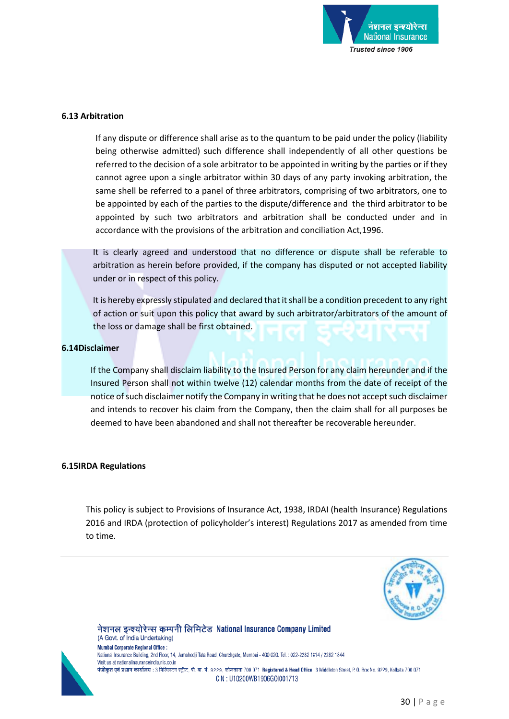

#### **6.13 Arbitration**

If any dispute or difference shall arise as to the quantum to be paid under the policy (liability being otherwise admitted) such difference shall independently of all other questions be referred to the decision of a sole arbitrator to be appointed in writing by the parties or if they cannot agree upon a single arbitrator within 30 days of any party invoking arbitration, the same shell be referred to a panel of three arbitrators, comprising of two arbitrators, one to be appointed by each of the parties to the dispute/difference and the third arbitrator to be appointed by such two arbitrators and arbitration shall be conducted under and in accordance with the provisions of the arbitration and conciliation Act,1996.

It is clearly agreed and understood that no difference or dispute shall be referable to arbitration as herein before provided, if the company has disputed or not accepted liability under or in respect of this policy.

It is hereby expressly stipulated and declared that it shall be a condition precedent to any right of action or suit upon this policy that award by such arbitrator/arbitrators of the amount of the loss or damage shall be first obtained.

#### **6.14Disclaimer**

If the Company shall disclaim liability to the Insured Person for any claim hereunder and if the Insured Person shall not within twelve (12) calendar months from the date of receipt of the notice of such disclaimer notify the Company in writing that he does not accept such disclaimer and intends to recover his claim from the Company, then the claim shall for all purposes be deemed to have been abandoned and shall not thereafter be recoverable hereunder.

#### **6.15IRDA Regulations**

This policy is subject to Provisions of Insurance Act, 1938, IRDAI (health Insurance) Regulations 2016 and IRDA (protection of policyholder's interest) Regulations 2017 as amended from time to time.





(A Govt. of India Undertaking) **Mumbai Corporate Regional Office:** National Insurance Building, 2nd Floor, 14, Jamshedji Tata Road, Churchgate, Mumbai - 400 020. Tel. : 022-2282 1814 / 2282 1844 Visit us at nationalinsuranceindia nic co in पंजीकृत एवं प्रधान कार्यालय : 3 मिडिलटन स्ट्रीट, पी. बा. नं. 9229, कोलकाता 700 071 Registered & Head Office : 3 Middleton Street, P. O. Box No. 9229, Kolkata 700 071 CIN: U10200WB1906G0I001713